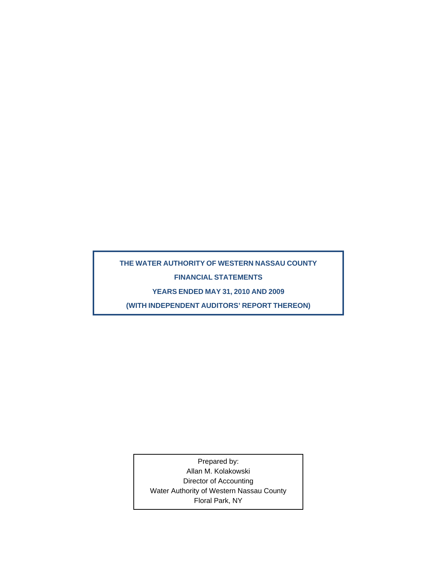# **THE WATER AUTHORITY OF WESTERN NASSAU COUNTY FINANCIAL STATEMENTS**

**YEARS ENDED MAY 31, 2010 AND 2009** 

**(WITH INDEPENDENT AUDITORS' REPORT THEREON)** 

Prepared by: Allan M. Kolakowski Director of Accounting Water Authority of Western Nassau County Floral Park, NY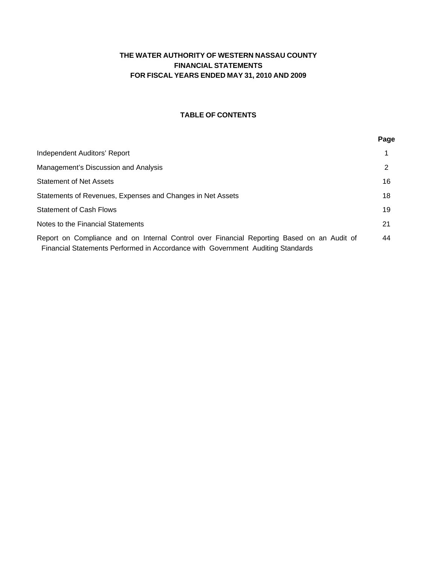# **THE WATER AUTHORITY OF WESTERN NASSAU COUNTY FINANCIAL STATEMENTS FOR FISCAL YEARS ENDED MAY 31, 2010 AND 2009**

# **TABLE OF CONTENTS**

**Page** 

| Independent Auditors' Report                                                                                                                                                  |    |
|-------------------------------------------------------------------------------------------------------------------------------------------------------------------------------|----|
| Management's Discussion and Analysis                                                                                                                                          |    |
| <b>Statement of Net Assets</b>                                                                                                                                                | 16 |
| Statements of Revenues, Expenses and Changes in Net Assets                                                                                                                    | 18 |
| <b>Statement of Cash Flows</b>                                                                                                                                                | 19 |
| Notes to the Financial Statements                                                                                                                                             | 21 |
| Report on Compliance and on Internal Control over Financial Reporting Based on an Audit of<br>Financial Statements Performed in Accordance with Government Auditing Standards | 44 |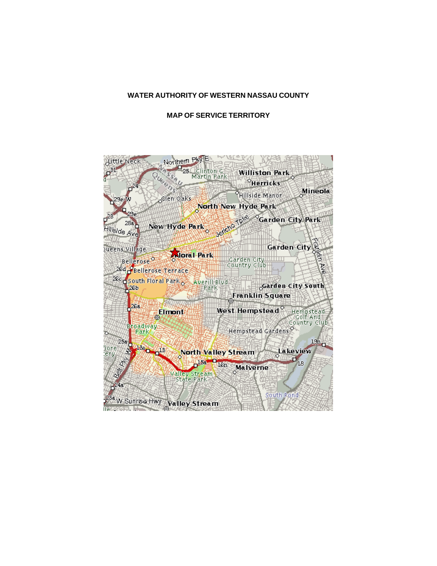### **WATER AUTHORITY OF WESTERN NASSAU COUNTY**

#### **MAP OF SERVICE TERRITORY**

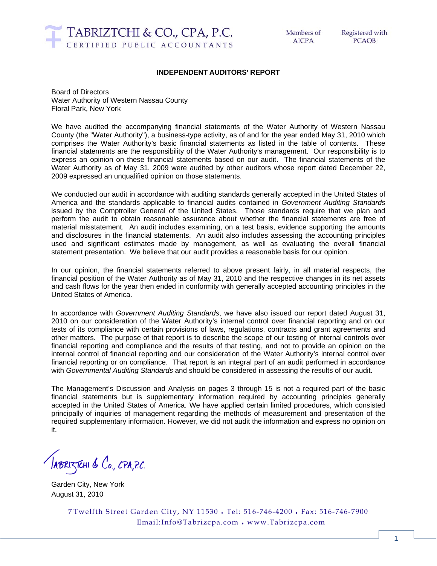

#### **INDEPENDENT AUDITORS' REPORT**

Board of Directors Water Authority of Western Nassau County Floral Park, New York

We have audited the accompanying financial statements of the Water Authority of Western Nassau County (the "Water Authority"), a business-type activity, as of and for the year ended May 31, 2010 which comprises the Water Authority's basic financial statements as listed in the table of contents. These financial statements are the responsibility of the Water Authority's management. Our responsibility is to express an opinion on these financial statements based on our audit. The financial statements of the Water Authority as of May 31, 2009 were audited by other auditors whose report dated December 22, 2009 expressed an unqualified opinion on those statements.

We conducted our audit in accordance with auditing standards generally accepted in the United States of America and the standards applicable to financial audits contained in *Government Auditing Standards* issued by the Comptroller General of the United States. Those standards require that we plan and perform the audit to obtain reasonable assurance about whether the financial statements are free of material misstatement. An audit includes examining, on a test basis, evidence supporting the amounts and disclosures in the financial statements. An audit also includes assessing the accounting principles used and significant estimates made by management, as well as evaluating the overall financial statement presentation. We believe that our audit provides a reasonable basis for our opinion.

In our opinion, the financial statements referred to above present fairly, in all material respects, the financial position of the Water Authority as of May 31, 2010 and the respective changes in its net assets and cash flows for the year then ended in conformity with generally accepted accounting principles in the United States of America.

In accordance with *Government Auditing Standards*, we have also issued our report dated August 31, 2010 on our consideration of the Water Authority's internal control over financial reporting and on our tests of its compliance with certain provisions of laws, regulations, contracts and grant agreements and other matters. The purpose of that report is to describe the scope of our testing of internal controls over financial reporting and compliance and the results of that testing, and not to provide an opinion on the internal control of financial reporting and our consideration of the Water Authority's internal control over financial reporting or on compliance. That report is an integral part of an audit performed in accordance with *Governmental Auditing Standards* and should be considered in assessing the results of our audit.

The Management's Discussion and Analysis on pages 3 through 15 is not a required part of the basic financial statements but is supplementary information required by accounting principles generally accepted in the United States of America. We have applied certain limited procedures, which consisted principally of inquiries of management regarding the methods of measurement and presentation of the required supplementary information. However, we did not audit the information and express no opinion on it.

JABRIZTEHI & Co., CPA, P.C.

Garden City, New York August 31, 2010

7 Twelfth Street Garden City, NY 11530 ♦ Tel: 516-746-4200 ♦ Fax: 516-746-7900 Email:Info@Tabrizcpa.com ♦ www.Tabrizcpa.com

1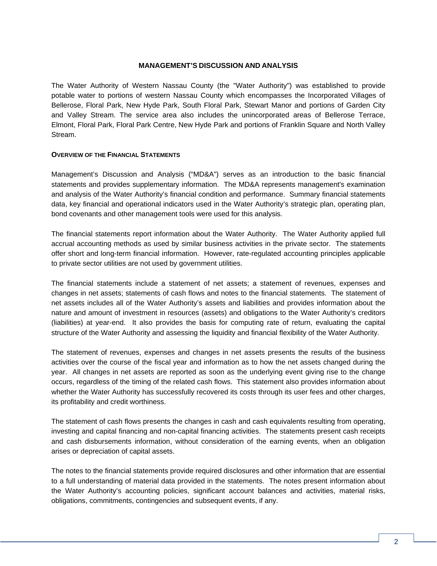#### **MANAGEMENT'S DISCUSSION AND ANALYSIS**

The Water Authority of Western Nassau County (the "Water Authority") was established to provide potable water to portions of western Nassau County which encompasses the Incorporated Villages of Bellerose, Floral Park, New Hyde Park, South Floral Park, Stewart Manor and portions of Garden City and Valley Stream. The service area also includes the unincorporated areas of Bellerose Terrace, Elmont, Floral Park, Floral Park Centre, New Hyde Park and portions of Franklin Square and North Valley Stream.

#### **OVERVIEW OF THE FINANCIAL STATEMENTS**

Management's Discussion and Analysis ("MD&A") serves as an introduction to the basic financial statements and provides supplementary information. The MD&A represents management's examination and analysis of the Water Authority's financial condition and performance. Summary financial statements data, key financial and operational indicators used in the Water Authority's strategic plan, operating plan, bond covenants and other management tools were used for this analysis.

The financial statements report information about the Water Authority. The Water Authority applied full accrual accounting methods as used by similar business activities in the private sector. The statements offer short and long-term financial information. However, rate-regulated accounting principles applicable to private sector utilities are not used by government utilities.

The financial statements include a statement of net assets; a statement of revenues, expenses and changes in net assets; statements of cash flows and notes to the financial statements. The statement of net assets includes all of the Water Authority's assets and liabilities and provides information about the nature and amount of investment in resources (assets) and obligations to the Water Authority's creditors (liabilities) at year-end. It also provides the basis for computing rate of return, evaluating the capital structure of the Water Authority and assessing the liquidity and financial flexibility of the Water Authority.

The statement of revenues, expenses and changes in net assets presents the results of the business activities over the course of the fiscal year and information as to how the net assets changed during the year. All changes in net assets are reported as soon as the underlying event giving rise to the change occurs, regardless of the timing of the related cash flows. This statement also provides information about whether the Water Authority has successfully recovered its costs through its user fees and other charges, its profitability and credit worthiness.

The statement of cash flows presents the changes in cash and cash equivalents resulting from operating, investing and capital financing and non-capital financing activities. The statements present cash receipts and cash disbursements information, without consideration of the earning events, when an obligation arises or depreciation of capital assets.

The notes to the financial statements provide required disclosures and other information that are essential to a full understanding of material data provided in the statements. The notes present information about the Water Authority's accounting policies, significant account balances and activities, material risks, obligations, commitments, contingencies and subsequent events, if any.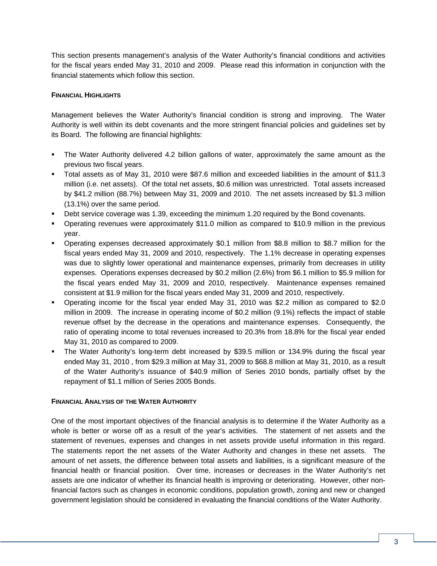This section presents management's analysis of the Water Authority's financial conditions and activities for the fiscal years ended May 31, 2010 and 2009. Please read this information in conjunction with the financial statements which follow this section.

### **FINANCIAL HIGHLIGHTS**

Management believes the Water Authority's financial condition is strong and improving. The Water Authority is well within its debt covenants and the more stringent financial policies and guidelines set by its Board. The following are financial highlights:

- The Water Authority delivered 4.2 billion gallons of water, approximately the same amount as the previous two fiscal years.
- Total assets as of May 31, 2010 were \$87.6 million and exceeded liabilities in the amount of \$11.3 million (i.e. net assets). Of the total net assets, \$0.6 million was unrestricted. Total assets increased by \$41.2 million (88.7%) between May 31, 2009 and 2010. The net assets increased by \$1.3 million (13.1%) over the same period.
- Debt service coverage was 1.39, exceeding the minimum 1.20 required by the Bond covenants.
- Operating revenues were approximately \$11.0 million as compared to \$10.9 million in the previous year.
- Operating expenses decreased approximately \$0.1 million from \$8.8 million to \$8.7 million for the fiscal years ended May 31, 2009 and 2010, respectively. The 1.1% decrease in operating expenses was due to slightly lower operational and maintenance expenses, primarily from decreases in utility expenses. Operations expenses decreased by \$0.2 million (2.6%) from \$6.1 million to \$5.9 million for the fiscal years ended May 31, 2009 and 2010, respectively. Maintenance expenses remained consistent at \$1.9 million for the fiscal years ended May 31, 2009 and 2010, respectively.
- Operating income for the fiscal year ended May 31, 2010 was \$2.2 million as compared to \$2.0 million in 2009. The increase in operating income of \$0.2 million (9.1%) reflects the impact of stable revenue offset by the decrease in the operations and maintenance expenses. Consequently, the ratio of operating income to total revenues increased to 20.3% from 18.8% for the fiscal year ended May 31, 2010 as compared to 2009.
- The Water Authority's long-term debt increased by \$39.5 million or 134.9% during the fiscal year ended May 31, 2010 , from \$29.3 million at May 31, 2009 to \$68.8 million at May 31, 2010, as a result of the Water Authority's issuance of \$40.9 million of Series 2010 bonds, partially offset by the repayment of \$1.1 million of Series 2005 Bonds.

### **FINANCIAL ANALYSIS OF THE WATER AUTHORITY**

One of the most important objectives of the financial analysis is to determine if the Water Authority as a whole is better or worse off as a result of the year's activities. The statement of net assets and the statement of revenues, expenses and changes in net assets provide useful information in this regard. The statements report the net assets of the Water Authority and changes in these net assets. The amount of net assets, the difference between total assets and liabilities, is a significant measure of the financial health or financial position. Over time, increases or decreases in the Water Authority's net assets are one indicator of whether its financial health is improving or deteriorating. However, other nonfinancial factors such as changes in economic conditions, population growth, zoning and new or changed government legislation should be considered in evaluating the financial conditions of the Water Authority.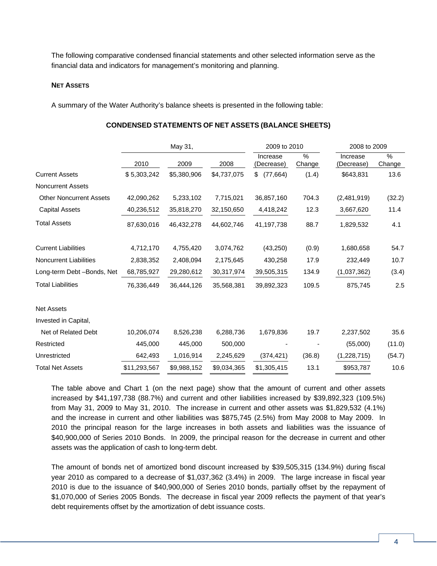The following comparative condensed financial statements and other selected information serve as the financial data and indicators for management's monitoring and planning.

#### **NET ASSETS**

A summary of the Water Authority's balance sheets is presented in the following table:

|                                |              | May 31,     |             | 2009 to 2010           |             | 2008 to 2009           |                         |
|--------------------------------|--------------|-------------|-------------|------------------------|-------------|------------------------|-------------------------|
|                                | 2010         | 2009        | 2008        | Increase<br>(Decrease) | %<br>Change | Increase<br>(Decrease) | $\frac{0}{0}$<br>Change |
| <b>Current Assets</b>          | \$5,303,242  | \$5,380,906 | \$4,737,075 | \$ (77,664)            | (1.4)       | \$643,831              | 13.6                    |
| <b>Noncurrent Assets</b>       |              |             |             |                        |             |                        |                         |
| <b>Other Noncurrent Assets</b> | 42,090,262   | 5,233,102   | 7,715,021   | 36,857,160             | 704.3       | (2,481,919)            | (32.2)                  |
| <b>Capital Assets</b>          | 40,236,512   | 35,818,270  | 32,150,650  | 4,418,242              | 12.3        | 3,667,620              | 11.4                    |
| <b>Total Assets</b>            | 87,630,016   | 46,432,278  | 44,602,746  | 41,197,738             | 88.7        | 1,829,532              | 4.1                     |
| <b>Current Liabilities</b>     | 4,712,170    | 4,755,420   | 3,074,762   | (43, 250)              | (0.9)       | 1,680,658              | 54.7                    |
| <b>Noncurrent Liabilities</b>  | 2,838,352    | 2,408,094   | 2,175,645   | 430,258                | 17.9        | 232,449                | 10.7                    |
| Long-term Debt -Bonds, Net     | 68,785,927   | 29,280,612  | 30,317,974  | 39,505,315             | 134.9       | (1,037,362)            | (3.4)                   |
| <b>Total Liabilities</b>       | 76,336,449   | 36,444,126  | 35,568,381  | 39,892,323             | 109.5       | 875,745                | 2.5                     |
| <b>Net Assets</b>              |              |             |             |                        |             |                        |                         |
| Invested in Capital,           |              |             |             |                        |             |                        |                         |
| Net of Related Debt            | 10,206,074   | 8,526,238   | 6,288,736   | 1,679,836              | 19.7        | 2,237,502              | 35.6                    |
| Restricted                     | 445,000      | 445,000     | 500,000     |                        |             | (55,000)               | (11.0)                  |
| Unrestricted                   | 642,493      | 1,016,914   | 2,245,629   | (374, 421)             | (36.8)      | (1,228,715)            | (54.7)                  |
| <b>Total Net Assets</b>        | \$11,293,567 | \$9,988,152 | \$9,034,365 | \$1,305,415            | 13.1        | \$953,787              | 10.6                    |

#### **CONDENSED STATEMENTS OF NET ASSETS (BALANCE SHEETS)**

The table above and Chart 1 (on the next page) show that the amount of current and other assets increased by \$41,197,738 (88.7%) and current and other liabilities increased by \$39,892,323 (109.5%) from May 31, 2009 to May 31, 2010. The increase in current and other assets was \$1,829,532 (4.1%) and the increase in current and other liabilities was \$875,745 (2.5%) from May 2008 to May 2009. In 2010 the principal reason for the large increases in both assets and liabilities was the issuance of \$40,900,000 of Series 2010 Bonds. In 2009, the principal reason for the decrease in current and other assets was the application of cash to long-term debt.

The amount of bonds net of amortized bond discount increased by \$39,505,315 (134.9%) during fiscal year 2010 as compared to a decrease of \$1,037,362 (3.4%) in 2009. The large increase in fiscal year 2010 is due to the issuance of \$40,900,000 of Series 2010 bonds, partially offset by the repayment of \$1,070,000 of Series 2005 Bonds. The decrease in fiscal year 2009 reflects the payment of that year's debt requirements offset by the amortization of debt issuance costs.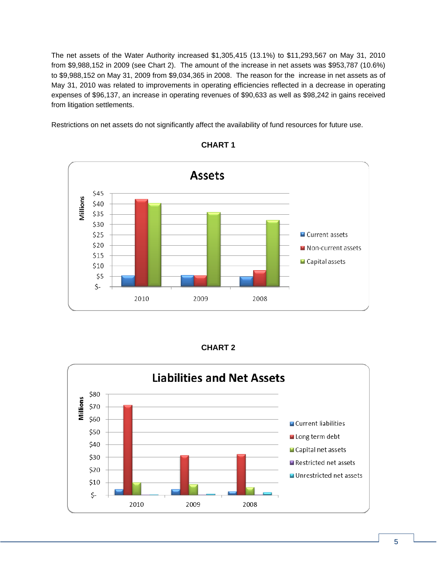The net assets of the Water Authority increased \$1,305,415 (13.1%) to \$11,293,567 on May 31, 2010 from \$9,988,152 in 2009 (see Chart 2). The amount of the increase in net assets was \$953,787 (10.6%) to \$9,988,152 on May 31, 2009 from \$9,034,365 in 2008. The reason for the increase in net assets as of May 31, 2010 was related to improvements in operating efficiencies reflected in a decrease in operating expenses of \$96,137, an increase in operating revenues of \$90,633 as well as \$98,242 in gains received from litigation settlements.

Restrictions on net assets do not significantly affect the availability of fund resources for future use.



# **CHART 1**

| <b>CHART 2</b> |
|----------------|
|----------------|

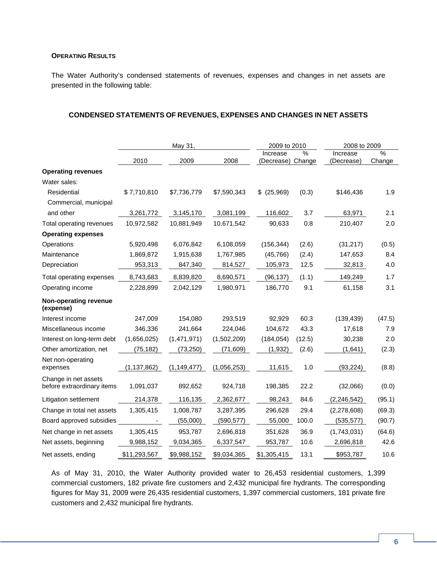### **OPERATING RESULTS**

The Water Authority's condensed statements of revenues, expenses and changes in net assets are presented in the following table:

### **CONDENSED STATEMENTS OF REVENUES, EXPENSES AND CHANGES IN NET ASSETS**

|                                                    | May 31,       |               | 2009 to 2010<br>2008 to 2009 |                        |             |                        |             |
|----------------------------------------------------|---------------|---------------|------------------------------|------------------------|-------------|------------------------|-------------|
|                                                    | 2010          | 2009          | 2008                         | Increase<br>(Decrease) | %<br>Change | Increase<br>(Decrease) | %<br>Change |
| <b>Operating revenues</b>                          |               |               |                              |                        |             |                        |             |
| Water sales:                                       |               |               |                              |                        |             |                        |             |
| Residential                                        | \$7,710,810   | \$7,736,779   | \$7,590,343                  | $$$ (25,969)           | (0.3)       | \$146,436              | 1.9         |
| Commercial, municipal                              |               |               |                              |                        |             |                        |             |
| and other                                          | 3,261,772     | 3,145,170     | 3,081,199                    | 116,602                | 3.7         | 63,971                 | 2.1         |
| Total operating revenues                           | 10,972,582    | 10,881,949    | 10,671,542                   | 90,633                 | 0.8         | 210,407                | 2.0         |
| <b>Operating expenses</b>                          |               |               |                              |                        |             |                        |             |
| Operations                                         | 5,920,498     | 6,076,842     | 6,108,059                    | (156, 344)             | (2.6)       | (31, 217)              | (0.5)       |
| Maintenance                                        | 1,869,872     | 1,915,638     | 1,767,985                    | (45, 766)              | (2.4)       | 147,653                | 8.4         |
| Depreciation                                       | 953,313       | 847,340       | 814,527                      | 105,973                | 12.5        | 32,813                 | 4.0         |
| Total operating expenses                           | 8,743,683     | 8,839,820     | 8,690,571                    | (96, 137)              | (1.1)       | 149,249                | 1.7         |
| Operating income                                   | 2,228,899     | 2,042,129     | 1,980,971                    | 186,770                | 9.1         | 61,158                 | 3.1         |
| Non-operating revenue<br>(expense)                 |               |               |                              |                        |             |                        |             |
| Interest income                                    | 247,009       | 154,080       | 293,519                      | 92,929                 | 60.3        | (139, 439)             | (47.5)      |
| Miscellaneous income                               | 346,336       | 241,664       | 224,046                      | 104,672                | 43.3        | 17,618                 | 7.9         |
| Interest on long-term debt                         | (1,656,025)   | (1,471,971)   | (1,502,209)                  | (184, 054)             | (12.5)      | 30,238                 | 2.0         |
| Other amortization, net                            | (75, 182)     | (73, 250)     | (71, 609)                    | (1, 932)               | (2.6)       | (1,641)                | (2.3)       |
| Net non-operating<br>expenses                      | (1, 137, 862) | (1, 149, 477) | (1,056,253)                  | 11,615                 | 1.0         | (93, 224)              | (8.8)       |
| Change in net assets<br>before extraordinary items | 1,091,037     | 892,652       | 924,718                      | 198,385                | 22.2        | (32,066)               | (0.0)       |
| Litigation settlement                              | 214,378       | 116,135       | 2,362,677                    | 98,243                 | 84.6        | (2, 246, 542)          | (95.1)      |
| Change in total net assets                         | 1,305,415     | 1,008,787     | 3,287,395                    | 296,628                | 29.4        | (2,278,608)            | (69.3)      |
| Board approved subsidies                           |               | (55,000)      | (590, 577)                   | 55,000                 | 100.0       | (535, 577)             | (90.7)      |
| Net change in net assets                           | 1,305,415     | 953,787       | 2,696,818                    | 351,628                | 36.9        | (1,743,031)            | (64.6)      |
| Net assets, beginning                              | 9,988,152     | 9,034,365     | 6,337,547                    | 953,787                | 10.6        | 2,696,818              | 42.6        |
| Net assets, ending                                 | \$11,293,567  | \$9,988,152   | \$9,034,365                  | \$1,305,415            | 13.1        | \$953,787              | 10.6        |

As of May 31, 2010, the Water Authority provided water to 26,453 residential customers, 1,399 commercial customers, 182 private fire customers and 2,432 municipal fire hydrants. The corresponding figures for May 31, 2009 were 26,435 residential customers, 1,397 commercial customers, 181 private fire customers and 2,432 municipal fire hydrants.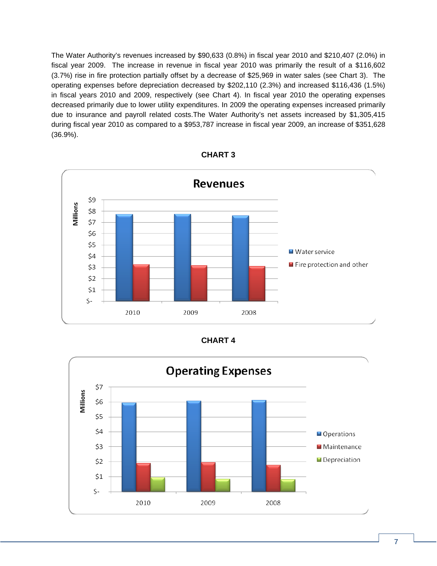The Water Authority's revenues increased by \$90,633 (0.8%) in fiscal year 2010 and \$210,407 (2.0%) in fiscal year 2009. The increase in revenue in fiscal year 2010 was primarily the result of a \$116,602 (3.7%) rise in fire protection partially offset by a decrease of \$25,969 in water sales (see Chart 3). The operating expenses before depreciation decreased by \$202,110 (2.3%) and increased \$116,436 (1.5%) in fiscal years 2010 and 2009, respectively (see Chart 4). In fiscal year 2010 the operating expenses decreased primarily due to lower utility expenditures. In 2009 the operating expenses increased primarily due to insurance and payroll related costs.The Water Authority's net assets increased by \$1,305,415 during fiscal year 2010 as compared to a \$953,787 increase in fiscal year 2009, an increase of \$351,628 (36.9%).



| <b>CHART 3</b> |  |
|----------------|--|
|----------------|--|

| CHART |  |
|-------|--|
|-------|--|

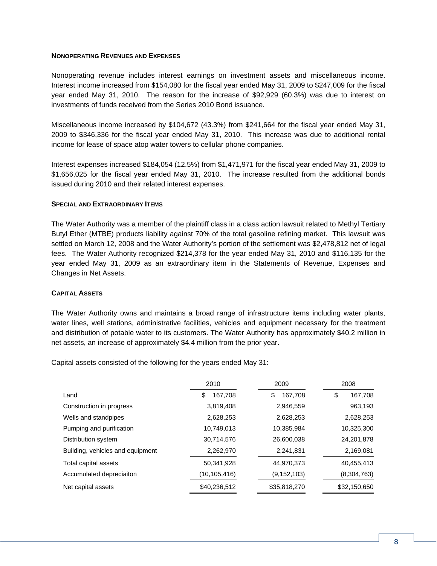#### **NONOPERATING REVENUES AND EXPENSES**

Nonoperating revenue includes interest earnings on investment assets and miscellaneous income. Interest income increased from \$154,080 for the fiscal year ended May 31, 2009 to \$247,009 for the fiscal year ended May 31, 2010. The reason for the increase of \$92,929 (60.3%) was due to interest on investments of funds received from the Series 2010 Bond issuance.

Miscellaneous income increased by \$104,672 (43.3%) from \$241,664 for the fiscal year ended May 31, 2009 to \$346,336 for the fiscal year ended May 31, 2010. This increase was due to additional rental income for lease of space atop water towers to cellular phone companies.

Interest expenses increased \$184,054 (12.5%) from \$1,471,971 for the fiscal year ended May 31, 2009 to \$1,656,025 for the fiscal year ended May 31, 2010. The increase resulted from the additional bonds issued during 2010 and their related interest expenses.

#### **SPECIAL AND EXTRAORDINARY ITEMS**

The Water Authority was a member of the plaintiff class in a class action lawsuit related to Methyl Tertiary Butyl Ether (MTBE) products liability against 70% of the total gasoline refining market. This lawsuit was settled on March 12, 2008 and the Water Authority's portion of the settlement was \$2,478,812 net of legal fees. The Water Authority recognized \$214,378 for the year ended May 31, 2010 and \$116,135 for the year ended May 31, 2009 as an extraordinary item in the Statements of Revenue, Expenses and Changes in Net Assets.

#### **CAPITAL ASSETS**

The Water Authority owns and maintains a broad range of infrastructure items including water plants, water lines, well stations, administrative facilities, vehicles and equipment necessary for the treatment and distribution of potable water to its customers. The Water Authority has approximately \$40.2 million in net assets, an increase of approximately \$4.4 million from the prior year.

Capital assets consisted of the following for the years ended May 31:

|                                  | 2010          | 2009          | 2008          |
|----------------------------------|---------------|---------------|---------------|
| Land                             | 167,708<br>\$ | \$<br>167,708 | 167,708<br>\$ |
| Construction in progress         | 3,819,408     | 2,946,559     | 963,193       |
| Wells and standpipes             | 2,628,253     | 2,628,253     | 2,628,253     |
| Pumping and purification         | 10,749,013    | 10,385,984    | 10,325,300    |
| Distribution system              | 30,714,576    | 26,600,038    | 24,201,878    |
| Building, vehicles and equipment | 2,262,970     | 2,241,831     | 2,169,081     |
| Total capital assets             | 50,341,928    | 44,970,373    | 40,455,413    |
| Accumulated depreciaiton         | (10,105,416)  | (9, 152, 103) | (8,304,763)   |
| Net capital assets               | \$40,236,512  | \$35,818,270  | \$32,150,650  |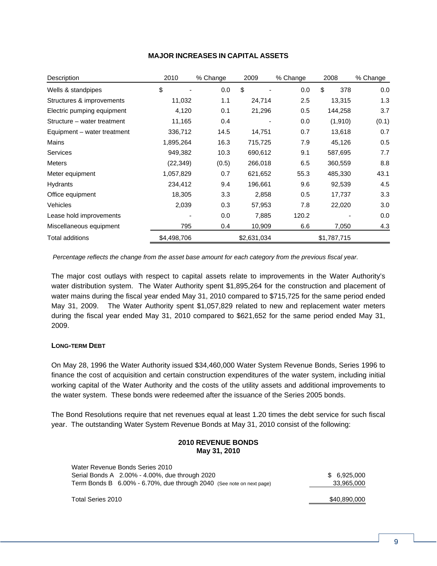| Description                 | 2010        | % Change | 2009        | % Change | 2008        | % Change |
|-----------------------------|-------------|----------|-------------|----------|-------------|----------|
| Wells & standpipes          | \$          | 0.0      | \$          | 0.0      | \$<br>378   | 0.0      |
| Structures & improvements   | 11,032      | 1.1      | 24,714      | 2.5      | 13,315      | 1.3      |
| Electric pumping equipment  | 4,120       | 0.1      | 21,296      | 0.5      | 144,258     | 3.7      |
| Structure – water treatment | 11,165      | 0.4      |             | 0.0      | (1, 910)    | (0.1)    |
| Equipment – water treatment | 336,712     | 14.5     | 14,751      | 0.7      | 13,618      | 0.7      |
| Mains                       | 1,895,264   | 16.3     | 715,725     | 7.9      | 45,126      | 0.5      |
| <b>Services</b>             | 949,382     | 10.3     | 690,612     | 9.1      | 587,695     | 7.7      |
| <b>Meters</b>               | (22, 349)   | (0.5)    | 266,018     | 6.5      | 360,559     | 8.8      |
| Meter equipment             | 1,057,829   | 0.7      | 621,652     | 55.3     | 485,330     | 43.1     |
| Hydrants                    | 234,412     | 9.4      | 196,661     | 9.6      | 92,539      | 4.5      |
| Office equipment            | 18,305      | 3.3      | 2,858       | 0.5      | 17,737      | 3.3      |
| <b>Vehicles</b>             | 2,039       | 0.3      | 57,953      | 7.8      | 22,020      | 3.0      |
| Lease hold improvements     |             | 0.0      | 7,885       | 120.2    |             | 0.0      |
| Miscellaneous equipment     | 795         | 0.4      | 10,909      | 6.6      | 7,050       | 4.3      |
| <b>Total additions</b>      | \$4,498,706 |          | \$2,631,034 |          | \$1,787,715 |          |

### **MAJOR INCREASES IN CAPITAL ASSETS**

*Percentage reflects the change from the asset base amount for each category from the previous fiscal year.* 

The major cost outlays with respect to capital assets relate to improvements in the Water Authority's water distribution system. The Water Authority spent \$1,895,264 for the construction and placement of water mains during the fiscal year ended May 31, 2010 compared to \$715,725 for the same period ended May 31, 2009. The Water Authority spent \$1,057,829 related to new and replacement water meters during the fiscal year ended May 31, 2010 compared to \$621,652 for the same period ended May 31, 2009.

### **LONG-TERM DEBT**

On May 28, 1996 the Water Authority issued \$34,460,000 Water System Revenue Bonds, Series 1996 to finance the cost of acquisition and certain construction expenditures of the water system, including initial working capital of the Water Authority and the costs of the utility assets and additional improvements to the water system. These bonds were redeemed after the issuance of the Series 2005 bonds.

The Bond Resolutions require that net revenues equal at least 1.20 times the debt service for such fiscal year. The outstanding Water System Revenue Bonds at May 31, 2010 consist of the following:

#### **2010 REVENUE BONDS May 31, 2010**

| Water Revenue Bonds Series 2010                                      |              |
|----------------------------------------------------------------------|--------------|
| Serial Bonds A 2.00% - 4.00%, due through 2020                       | \$ 6.925,000 |
| Term Bonds B 6.00% - 6.70%, due through 2040 (See note on next page) | 33,965,000   |
|                                                                      |              |
| Total Series 2010                                                    | \$40,890,000 |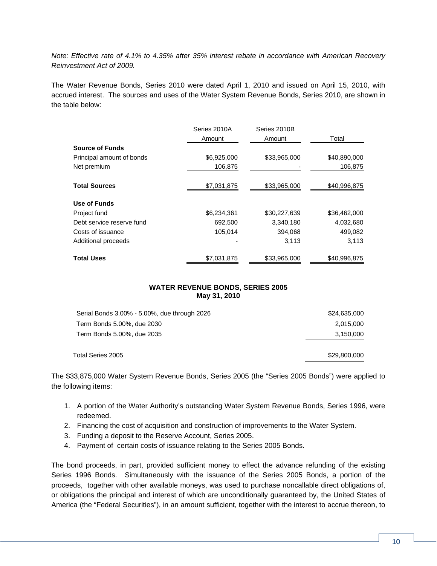*Note: Effective rate of 4.1% to 4.35% after 35% interest rebate in accordance with American Recovery Reinvestment Act of 2009.* 

The Water Revenue Bonds, Series 2010 were dated April 1, 2010 and issued on April 15, 2010, with accrued interest. The sources and uses of the Water System Revenue Bonds, Series 2010, are shown in the table below:

|                           | Series 2010A | Series 2010B |              |
|---------------------------|--------------|--------------|--------------|
|                           | Amount       | Amount       | Total        |
| <b>Source of Funds</b>    |              |              |              |
| Principal amount of bonds | \$6,925,000  | \$33,965,000 | \$40,890,000 |
| Net premium               | 106,875      |              | 106,875      |
| <b>Total Sources</b>      | \$7,031,875  | \$33,965,000 | \$40,996,875 |
| Use of Funds              |              |              |              |
| Project fund              | \$6,234,361  | \$30,227,639 | \$36,462,000 |
| Debt service reserve fund | 692,500      | 3,340,180    | 4,032,680    |
| Costs of issuance         | 105.014      | 394.068      | 499.082      |
| Additional proceeds       |              | 3,113        | 3,113        |
| <b>Total Uses</b>         | \$7,031,875  | \$33,965,000 | \$40,996,875 |

### **WATER REVENUE BONDS, SERIES 2005 May 31, 2010**

| Total Series 2005                            | \$29,800,000 |
|----------------------------------------------|--------------|
| Term Bonds 5.00%, due 2035                   | 3,150,000    |
| Term Bonds 5.00%, due 2030                   | 2,015,000    |
| Serial Bonds 3.00% - 5.00%, due through 2026 | \$24,635,000 |

The \$33,875,000 Water System Revenue Bonds, Series 2005 (the "Series 2005 Bonds") were applied to the following items:

- 1. A portion of the Water Authority's outstanding Water System Revenue Bonds, Series 1996, were redeemed.
- 2. Financing the cost of acquisition and construction of improvements to the Water System.
- 3. Funding a deposit to the Reserve Account, Series 2005.
- 4. Payment of certain costs of issuance relating to the Series 2005 Bonds.

The bond proceeds, in part, provided sufficient money to effect the advance refunding of the existing Series 1996 Bonds. Simultaneously with the issuance of the Series 2005 Bonds, a portion of the proceeds, together with other available moneys, was used to purchase noncallable direct obligations of, or obligations the principal and interest of which are unconditionally guaranteed by, the United States of America (the "Federal Securities"), in an amount sufficient, together with the interest to accrue thereon, to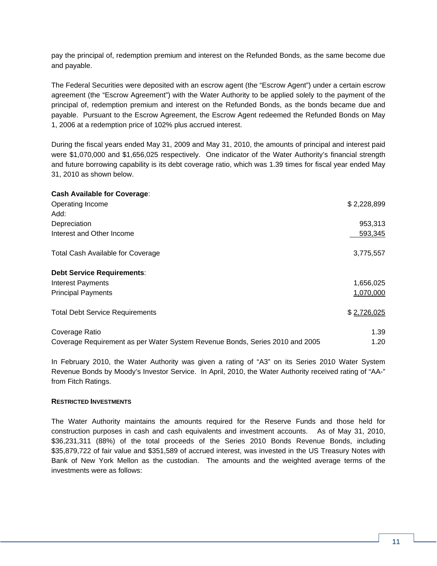pay the principal of, redemption premium and interest on the Refunded Bonds, as the same become due and payable.

The Federal Securities were deposited with an escrow agent (the "Escrow Agent") under a certain escrow agreement (the "Escrow Agreement") with the Water Authority to be applied solely to the payment of the principal of, redemption premium and interest on the Refunded Bonds, as the bonds became due and payable. Pursuant to the Escrow Agreement, the Escrow Agent redeemed the Refunded Bonds on May 1, 2006 at a redemption price of 102% plus accrued interest.

During the fiscal years ended May 31, 2009 and May 31, 2010, the amounts of principal and interest paid were \$1,070,000 and \$1,656,025 respectively. One indicator of the Water Authority's financial strength and future borrowing capability is its debt coverage ratio, which was 1.39 times for fiscal year ended May 31, 2010 as shown below.

| <b>Cash Available for Coverage:</b>                                          |             |
|------------------------------------------------------------------------------|-------------|
| Operating Income                                                             | \$2,228,899 |
| Add:                                                                         |             |
| Depreciation                                                                 | 953,313     |
| Interest and Other Income                                                    | 593,345     |
| <b>Total Cash Available for Coverage</b>                                     | 3,775,557   |
| <b>Debt Service Requirements:</b>                                            |             |
| <b>Interest Payments</b>                                                     | 1,656,025   |
| <b>Principal Payments</b>                                                    | 1,070,000   |
| <b>Total Debt Service Requirements</b>                                       | \$2,726,025 |
| Coverage Ratio                                                               | 1.39        |
| Coverage Requirement as per Water System Revenue Bonds, Series 2010 and 2005 | 1.20        |

In February 2010, the Water Authority was given a rating of "A3" on its Series 2010 Water System Revenue Bonds by Moody's Investor Service. In April, 2010, the Water Authority received rating of "AA-" from Fitch Ratings.

#### **RESTRICTED INVESTMENTS**

The Water Authority maintains the amounts required for the Reserve Funds and those held for construction purposes in cash and cash equivalents and investment accounts. As of May 31, 2010, \$36,231,311 (88%) of the total proceeds of the Series 2010 Bonds Revenue Bonds, including \$35,879,722 of fair value and \$351,589 of accrued interest, was invested in the US Treasury Notes with Bank of New York Mellon as the custodian. The amounts and the weighted average terms of the investments were as follows: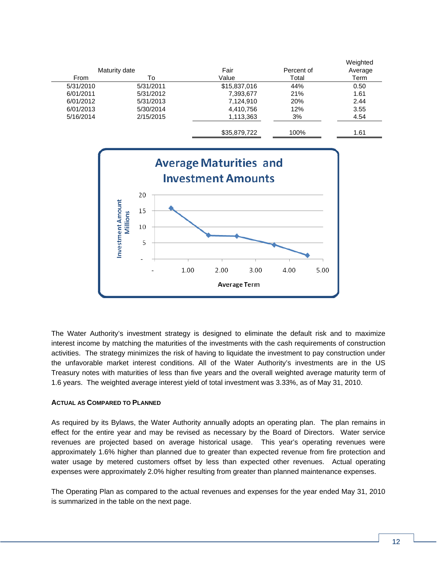

The Water Authority's investment strategy is designed to eliminate the default risk and to maximize interest income by matching the maturities of the investments with the cash requirements of construction activities. The strategy minimizes the risk of having to liquidate the investment to pay construction under the unfavorable market interest conditions. All of the Water Authority's investments are in the US Treasury notes with maturities of less than five years and the overall weighted average maturity term of 1.6 years. The weighted average interest yield of total investment was 3.33%, as of May 31, 2010.

**Average Term** 

#### **ACTUAL AS COMPARED TO PLANNED**

As required by its Bylaws, the Water Authority annually adopts an operating plan. The plan remains in effect for the entire year and may be revised as necessary by the Board of Directors. Water service revenues are projected based on average historical usage. This year's operating revenues were approximately 1.6% higher than planned due to greater than expected revenue from fire protection and water usage by metered customers offset by less than expected other revenues. Actual operating expenses were approximately 2.0% higher resulting from greater than planned maintenance expenses.

The Operating Plan as compared to the actual revenues and expenses for the year ended May 31, 2010 is summarized in the table on the next page.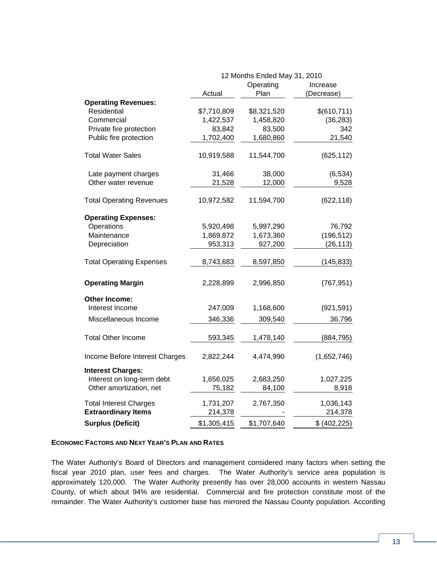|                                 | 12 Months Ended May 31, 2010 |             |               |  |  |
|---------------------------------|------------------------------|-------------|---------------|--|--|
|                                 |                              | Operating   | Increase      |  |  |
|                                 | Actual                       | Plan        | (Decrease)    |  |  |
| <b>Operating Revenues:</b>      |                              |             |               |  |  |
| Residential                     | \$7,710,809                  | \$8,321,520 | \$(610,711)   |  |  |
| Commercial                      | 1,422,537                    | 1,458,820   | (36, 283)     |  |  |
| Private fire protection         | 83,842                       | 83,500      | 342           |  |  |
| Public fire protection          | 1,702,400                    | 1,680,860   | 21,540        |  |  |
| <b>Total Water Sales</b>        | 10,919,588                   | 11,544,700  | (625, 112)    |  |  |
| Late payment charges            | 31,466                       | 38,000      | (6, 534)      |  |  |
| Other water revenue             | 21,528                       | 12,000      | 9,528         |  |  |
| <b>Total Operating Revenues</b> | 10,972,582                   | 11,594,700  | (622, 118)    |  |  |
| <b>Operating Expenses:</b>      |                              |             |               |  |  |
| Operations                      | 5,920,498                    | 5,997,290   | 76,792        |  |  |
| Maintenance                     | 1,869,872                    | 1,673,360   | (196, 512)    |  |  |
| Depreciation                    | 953,313                      | 927,200     | (26, 113)     |  |  |
| <b>Total Operating Expenses</b> | 8,743,683                    | 8,597,850   | (145, 833)    |  |  |
| <b>Operating Margin</b>         | 2,228,899                    | 2,996,850   | (767, 951)    |  |  |
| <b>Other Income:</b>            |                              |             |               |  |  |
| Interest Income                 | 247,009                      | 1,168,600   | (921, 591)    |  |  |
| Miscellaneous Income            | 346,336                      | 309,540     | 36,796        |  |  |
| <b>Total Other Income</b>       | 593,345                      | 1,478,140   | (884, 795)    |  |  |
| Income Before Interest Charges  | 2,822,244                    | 4,474,990   | (1,652,746)   |  |  |
| <b>Interest Charges:</b>        |                              |             |               |  |  |
| Interest on long-term debt      | 1,656,025                    | 2,683,250   | 1,027,225     |  |  |
| Other amortization, net         | 75,182                       | 84,100      | 8,918         |  |  |
| <b>Total Interest Charges</b>   | 1,731,207                    | 2,767,350   | 1,036,143     |  |  |
| <b>Extraordinary Items</b>      | 214,378                      |             | 214,378       |  |  |
| <b>Surplus (Deficit)</b>        | \$1,305,415                  | \$1,707,640 | \$ (402, 225) |  |  |

#### **ECONOMIC FACTORS AND NEXT YEAR'S PLAN AND RATES**

The Water Authority's Board of Directors and management considered many factors when setting the fiscal year 2010 plan, user fees and charges. The Water Authority's service area population is approximately 120,000. The Water Authority presently has over 28,000 accounts in western Nassau County, of which about 94% are residential. Commercial and fire protection constitute most of the remainder. The Water Authority's customer base has mirrored the Nassau County population. According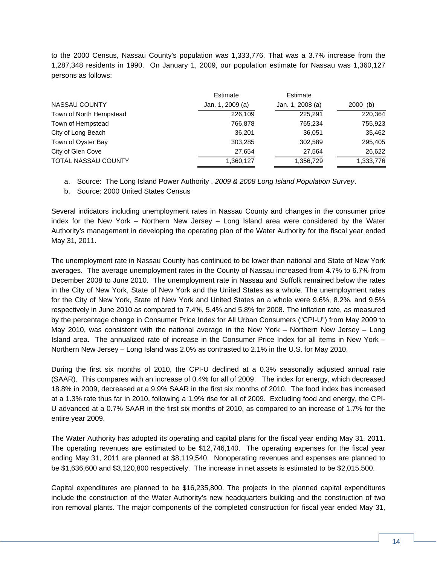to the 2000 Census, Nassau County's population was 1,333,776. That was a 3.7% increase from the 1,287,348 residents in 1990. On January 1, 2009, our population estimate for Nassau was 1,360,127 persons as follows:

|                            | Estimate         | Estimate         |            |
|----------------------------|------------------|------------------|------------|
| NASSAU COUNTY              | Jan. 1, 2009 (a) | Jan. 1, 2008 (a) | $2000$ (b) |
| Town of North Hempstead    | 226.109          | 225.291          | 220,364    |
| Town of Hempstead          | 766,878          | 765,234          | 755,923    |
| City of Long Beach         | 36.201           | 36,051           | 35,462     |
| Town of Oyster Bay         | 303,285          | 302,589          | 295,405    |
| City of Glen Cove          | 27.654           | 27.564           | 26,622     |
| <b>TOTAL NASSAU COUNTY</b> | 1,360,127        | 1,356,729        | 1,333,776  |

a. Source: The Long Island Power Authority , *2009 & 2008 Long Island Population Survey*.

b. Source: 2000 United States Census

Several indicators including unemployment rates in Nassau County and changes in the consumer price index for the New York – Northern New Jersey – Long Island area were considered by the Water Authority's management in developing the operating plan of the Water Authority for the fiscal year ended May 31, 2011.

The unemployment rate in Nassau County has continued to be lower than national and State of New York averages. The average unemployment rates in the County of Nassau increased from 4.7% to 6.7% from December 2008 to June 2010. The unemployment rate in Nassau and Suffolk remained below the rates in the City of New York, State of New York and the United States as a whole. The unemployment rates for the City of New York, State of New York and United States an a whole were 9.6%, 8.2%, and 9.5% respectively in June 2010 as compared to 7.4%, 5.4% and 5.8% for 2008. The inflation rate, as measured by the percentage change in Consumer Price Index for All Urban Consumers ("CPI-U") from May 2009 to May 2010, was consistent with the national average in the New York – Northern New Jersey – Long Island area. The annualized rate of increase in the Consumer Price Index for all items in New York – Northern New Jersey – Long Island was 2.0% as contrasted to 2.1% in the U.S. for May 2010.

During the first six months of 2010, the CPI-U declined at a 0.3% seasonally adjusted annual rate (SAAR). This compares with an increase of 0.4% for all of 2009. The index for energy, which decreased 18.8% in 2009, decreased at a 9.9% SAAR in the first six months of 2010. The food index has increased at a 1.3% rate thus far in 2010, following a 1.9% rise for all of 2009. Excluding food and energy, the CPI-U advanced at a 0.7% SAAR in the first six months of 2010, as compared to an increase of 1.7% for the entire year 2009.

The Water Authority has adopted its operating and capital plans for the fiscal year ending May 31, 2011. The operating revenues are estimated to be \$12,746,140. The operating expenses for the fiscal year ending May 31, 2011 are planned at \$8,119,540. Nonoperating revenues and expenses are planned to be \$1,636,600 and \$3,120,800 respectively. The increase in net assets is estimated to be \$2,015,500.

Capital expenditures are planned to be \$16,235,800. The projects in the planned capital expenditures include the construction of the Water Authority's new headquarters building and the construction of two iron removal plants. The major components of the completed construction for fiscal year ended May 31,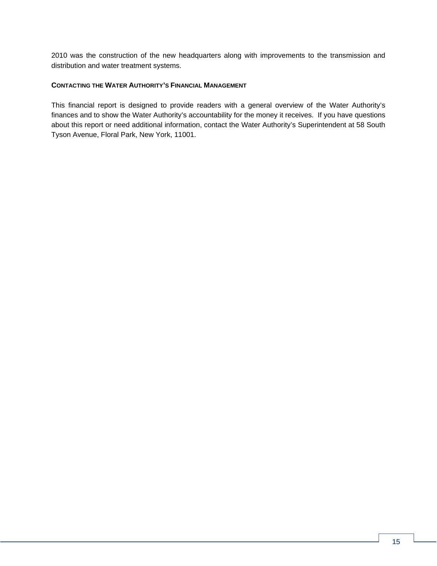2010 was the construction of the new headquarters along with improvements to the transmission and distribution and water treatment systems.

#### **CONTACTING THE WATER AUTHORITY'S FINANCIAL MANAGEMENT**

This financial report is designed to provide readers with a general overview of the Water Authority's finances and to show the Water Authority's accountability for the money it receives. If you have questions about this report or need additional information, contact the Water Authority's Superintendent at 58 South Tyson Avenue, Floral Park, New York, 11001.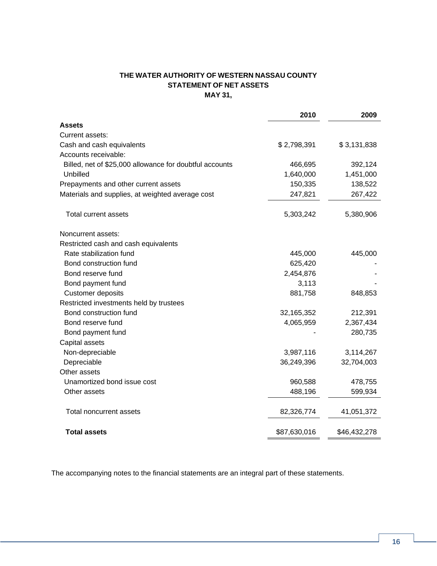# **THE WATER AUTHORITY OF WESTERN NASSAU COUNTY STATEMENT OF NET ASSETS MAY 31,**

|                                                         | 2010         | 2009         |
|---------------------------------------------------------|--------------|--------------|
| <b>Assets</b>                                           |              |              |
| Current assets:                                         |              |              |
| Cash and cash equivalents                               | \$2,798,391  | \$3,131,838  |
| Accounts receivable:                                    |              |              |
| Billed, net of \$25,000 allowance for doubtful accounts | 466,695      | 392,124      |
| Unbilled                                                | 1,640,000    | 1,451,000    |
| Prepayments and other current assets                    | 150,335      | 138,522      |
| Materials and supplies, at weighted average cost        | 247,821      | 267,422      |
|                                                         |              |              |
| Total current assets                                    | 5,303,242    | 5,380,906    |
| Noncurrent assets:                                      |              |              |
| Restricted cash and cash equivalents                    |              |              |
| Rate stabilization fund                                 | 445,000      | 445,000      |
| Bond construction fund                                  | 625,420      |              |
| Bond reserve fund                                       | 2,454,876    |              |
| Bond payment fund                                       | 3,113        |              |
| Customer deposits                                       | 881,758      | 848,853      |
| Restricted investments held by trustees                 |              |              |
| Bond construction fund                                  | 32, 165, 352 | 212,391      |
| Bond reserve fund                                       | 4,065,959    | 2,367,434    |
| Bond payment fund                                       |              | 280,735      |
| Capital assets                                          |              |              |
| Non-depreciable                                         | 3,987,116    | 3,114,267    |
| Depreciable                                             | 36,249,396   | 32,704,003   |
| Other assets                                            |              |              |
| Unamortized bond issue cost                             | 960,588      | 478,755      |
| Other assets                                            | 488,196      | 599,934      |
| <b>Total noncurrent assets</b>                          | 82,326,774   | 41,051,372   |
| <b>Total assets</b>                                     | \$87,630,016 | \$46,432,278 |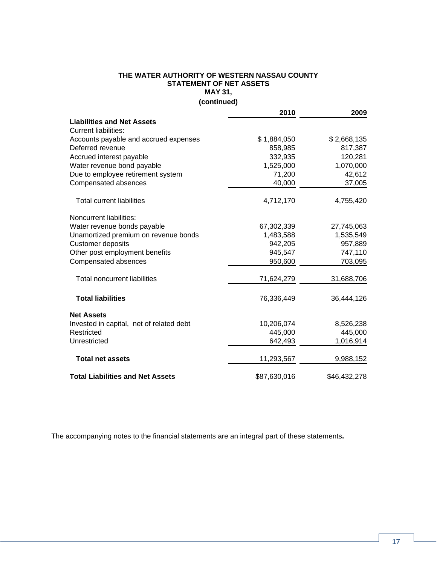### **THE WATER AUTHORITY OF WESTERN NASSAU COUNTY STATEMENT OF NET ASSETS MAY 31,**

**(continued)** 

|                                          | 2010         | 2009         |
|------------------------------------------|--------------|--------------|
| <b>Liabilities and Net Assets</b>        |              |              |
| <b>Current liabilities:</b>              |              |              |
| Accounts payable and accrued expenses    | \$1,884,050  | \$2,668,135  |
| Deferred revenue                         | 858,985      | 817,387      |
| Accrued interest payable                 | 332,935      | 120,281      |
| Water revenue bond payable               | 1,525,000    | 1,070,000    |
| Due to employee retirement system        | 71,200       | 42,612       |
| Compensated absences                     | 40,000       | 37,005       |
| <b>Total current liabilities</b>         | 4,712,170    | 4,755,420    |
| Noncurrent liabilities:                  |              |              |
| Water revenue bonds payable              | 67,302,339   | 27,745,063   |
| Unamortized premium on revenue bonds     | 1,483,588    | 1,535,549    |
| <b>Customer deposits</b>                 | 942,205      | 957,889      |
| Other post employment benefits           | 945,547      | 747,110      |
| Compensated absences                     | 950,600      | 703,095      |
| <b>Total noncurrent liabilities</b>      | 71,624,279   | 31,688,706   |
| <b>Total liabilities</b>                 | 76,336,449   | 36,444,126   |
| <b>Net Assets</b>                        |              |              |
| Invested in capital, net of related debt | 10,206,074   | 8,526,238    |
| Restricted                               | 445,000      | 445,000      |
| Unrestricted                             | 642,493      | 1,016,914    |
| <b>Total net assets</b>                  | 11,293,567   | 9,988,152    |
| <b>Total Liabilities and Net Assets</b>  | \$87,630,016 | \$46,432,278 |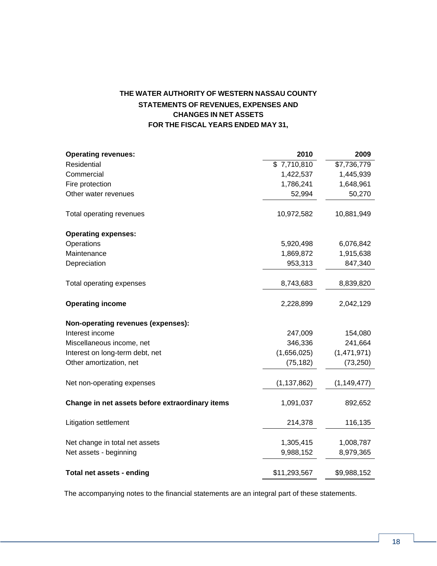# **THE WATER AUTHORITY OF WESTERN NASSAU COUNTY STATEMENTS OF REVENUES, EXPENSES AND CHANGES IN NET ASSETS FOR THE FISCAL YEARS ENDED MAY 31,**

| <b>Operating revenues:</b>                      | 2010          | 2009          |
|-------------------------------------------------|---------------|---------------|
| Residential                                     | \$7,710,810   | \$7,736,779   |
| Commercial                                      | 1,422,537     | 1,445,939     |
| Fire protection                                 | 1,786,241     | 1,648,961     |
| Other water revenues                            | 52,994        | 50,270        |
| Total operating revenues                        | 10,972,582    | 10,881,949    |
| <b>Operating expenses:</b>                      |               |               |
| Operations                                      | 5,920,498     | 6,076,842     |
| Maintenance                                     | 1,869,872     | 1,915,638     |
| Depreciation                                    | 953,313       | 847,340       |
| Total operating expenses                        | 8,743,683     | 8,839,820     |
| <b>Operating income</b>                         | 2,228,899     | 2,042,129     |
| Non-operating revenues (expenses):              |               |               |
| Interest income                                 | 247,009       | 154,080       |
| Miscellaneous income, net                       | 346,336       | 241,664       |
| Interest on long-term debt, net                 | (1,656,025)   | (1,471,971)   |
| Other amortization, net                         | (75, 182)     | (73, 250)     |
| Net non-operating expenses                      | (1, 137, 862) | (1, 149, 477) |
| Change in net assets before extraordinary items | 1,091,037     | 892,652       |
| Litigation settlement                           | 214,378       | 116,135       |
| Net change in total net assets                  | 1,305,415     | 1,008,787     |
| Net assets - beginning                          | 9,988,152     | 8,979,365     |
| Total net assets - ending                       | \$11,293,567  | \$9,988,152   |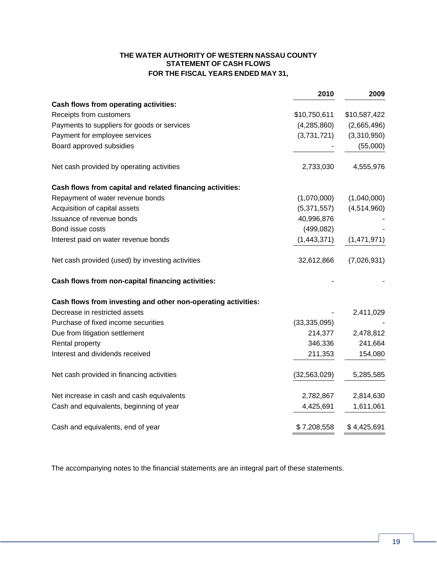## **THE WATER AUTHORITY OF WESTERN NASSAU COUNTY STATEMENT OF CASH FLOWS FOR THE FISCAL YEARS ENDED MAY 31,**

|                                                               | 2010           | 2009         |
|---------------------------------------------------------------|----------------|--------------|
| Cash flows from operating activities:                         |                |              |
| Receipts from customers                                       | \$10,750,611   | \$10,587,422 |
| Payments to suppliers for goods or services                   | (4,285,860)    | (2,665,496)  |
| Payment for employee services                                 | (3,731,721)    | (3,310,950)  |
| Board approved subsidies                                      |                | (55,000)     |
| Net cash provided by operating activities                     | 2,733,030      | 4,555,976    |
| Cash flows from capital and related financing activities:     |                |              |
| Repayment of water revenue bonds                              | (1,070,000)    | (1,040,000)  |
| Acquisition of capital assets                                 | (5,371,557)    | (4,514,960)  |
| Issuance of revenue bonds                                     | 40,996,876     |              |
| Bond issue costs                                              | (499, 082)     |              |
| Interest paid on water revenue bonds                          | (1,443,371)    | (1,471,971)  |
| Net cash provided (used) by investing activities              | 32,612,866     | (7,026,931)  |
| Cash flows from non-capital financing activities:             |                |              |
| Cash flows from investing and other non-operating activities: |                |              |
| Decrease in restricted assets                                 |                | 2,411,029    |
| Purchase of fixed income securities                           | (33, 335, 095) |              |
| Due from litigation settlement                                | 214,377        | 2,478,812    |
| Rental property                                               | 346,336        | 241,664      |
| Interest and dividends received                               | 211,353        | 154,080      |
| Net cash provided in financing activities                     | (32, 563, 029) | 5,285,585    |
| Net increase in cash and cash equivalents                     | 2,782,867      | 2,814,630    |
| Cash and equivalents, beginning of year                       | 4,425,691      | 1,611,061    |
| Cash and equivalents, end of year                             | \$7,208,558    | \$4,425,691  |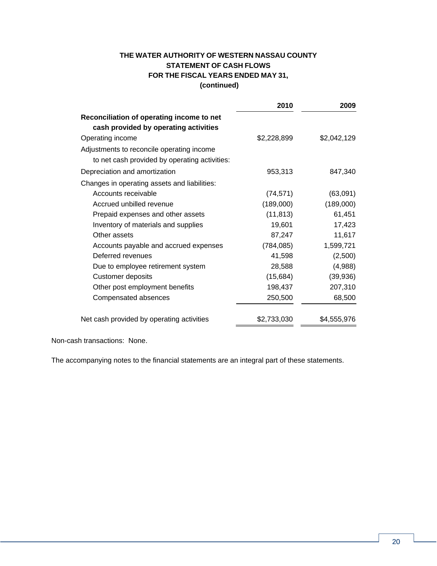# **THE WATER AUTHORITY OF WESTERN NASSAU COUNTY STATEMENT OF CASH FLOWS FOR THE FISCAL YEARS ENDED MAY 31, (continued)**

|                                                                                    | 2010        | 2009        |
|------------------------------------------------------------------------------------|-------------|-------------|
| Reconciliation of operating income to net<br>cash provided by operating activities |             |             |
| Operating income                                                                   | \$2,228,899 | \$2,042,129 |
| Adjustments to reconcile operating income                                          |             |             |
| to net cash provided by operating activities:                                      |             |             |
| Depreciation and amortization                                                      | 953,313     | 847,340     |
| Changes in operating assets and liabilities:                                       |             |             |
| Accounts receivable                                                                | (74, 571)   | (63,091)    |
| Accrued unbilled revenue                                                           | (189,000)   | (189,000)   |
| Prepaid expenses and other assets                                                  | (11, 813)   | 61,451      |
| Inventory of materials and supplies                                                | 19,601      | 17,423      |
| Other assets                                                                       | 87,247      | 11,617      |
| Accounts payable and accrued expenses                                              | (784, 085)  | 1,599,721   |
| Deferred revenues                                                                  | 41,598      | (2,500)     |
| Due to employee retirement system                                                  | 28,588      | (4,988)     |
| Customer deposits                                                                  | (15, 684)   | (39,936)    |
| Other post employment benefits                                                     | 198,437     | 207,310     |
| Compensated absences                                                               | 250,500     | 68,500      |
| Net cash provided by operating activities                                          | \$2,733,030 | \$4,555,976 |

Non-cash transactions: None.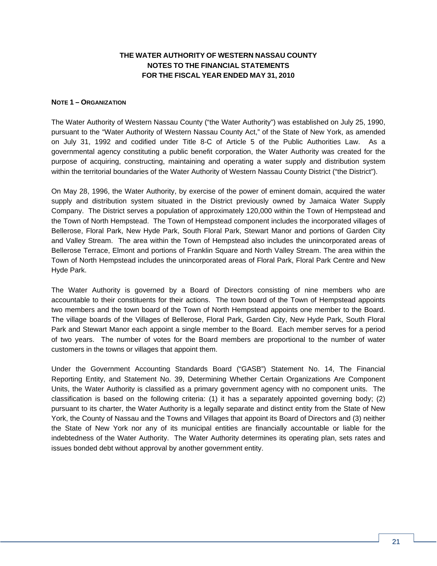# **THE WATER AUTHORITY OF WESTERN NASSAU COUNTY NOTES TO THE FINANCIAL STATEMENTS FOR THE FISCAL YEAR ENDED MAY 31, 2010**

### **NOTE 1 – ORGANIZATION**

The Water Authority of Western Nassau County ("the Water Authority") was established on July 25, 1990, pursuant to the "Water Authority of Western Nassau County Act," of the State of New York, as amended on July 31, 1992 and codified under Title 8-C of Article 5 of the Public Authorities Law. As a governmental agency constituting a public benefit corporation, the Water Authority was created for the purpose of acquiring, constructing, maintaining and operating a water supply and distribution system within the territorial boundaries of the Water Authority of Western Nassau County District ("the District").

On May 28, 1996, the Water Authority, by exercise of the power of eminent domain, acquired the water supply and distribution system situated in the District previously owned by Jamaica Water Supply Company. The District serves a population of approximately 120,000 within the Town of Hempstead and the Town of North Hempstead. The Town of Hempstead component includes the incorporated villages of Bellerose, Floral Park, New Hyde Park, South Floral Park, Stewart Manor and portions of Garden City and Valley Stream. The area within the Town of Hempstead also includes the unincorporated areas of Bellerose Terrace, Elmont and portions of Franklin Square and North Valley Stream. The area within the Town of North Hempstead includes the unincorporated areas of Floral Park, Floral Park Centre and New Hyde Park.

The Water Authority is governed by a Board of Directors consisting of nine members who are accountable to their constituents for their actions. The town board of the Town of Hempstead appoints two members and the town board of the Town of North Hempstead appoints one member to the Board. The village boards of the Villages of Bellerose, Floral Park, Garden City, New Hyde Park, South Floral Park and Stewart Manor each appoint a single member to the Board. Each member serves for a period of two years. The number of votes for the Board members are proportional to the number of water customers in the towns or villages that appoint them.

Under the Government Accounting Standards Board ("GASB") Statement No. 14, The Financial Reporting Entity, and Statement No. 39, Determining Whether Certain Organizations Are Component Units, the Water Authority is classified as a primary government agency with no component units. The classification is based on the following criteria: (1) it has a separately appointed governing body; (2) pursuant to its charter, the Water Authority is a legally separate and distinct entity from the State of New York, the County of Nassau and the Towns and Villages that appoint its Board of Directors and (3) neither the State of New York nor any of its municipal entities are financially accountable or liable for the indebtedness of the Water Authority. The Water Authority determines its operating plan, sets rates and issues bonded debt without approval by another government entity.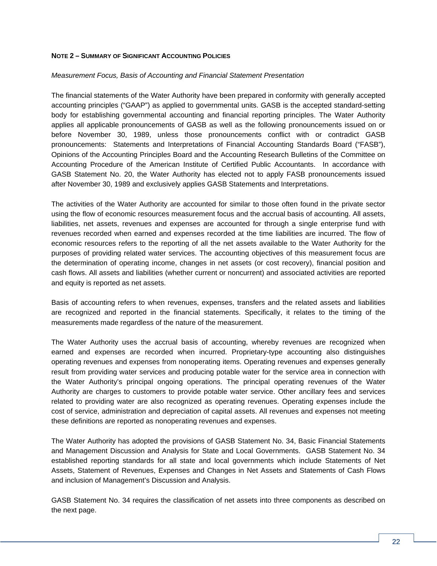### **NOTE 2 – SUMMARY OF SIGNIFICANT ACCOUNTING POLICIES**

#### *Measurement Focus, Basis of Accounting and Financial Statement Presentation*

The financial statements of the Water Authority have been prepared in conformity with generally accepted accounting principles ("GAAP") as applied to governmental units. GASB is the accepted standard-setting body for establishing governmental accounting and financial reporting principles. The Water Authority applies all applicable pronouncements of GASB as well as the following pronouncements issued on or before November 30, 1989, unless those pronouncements conflict with or contradict GASB pronouncements: Statements and Interpretations of Financial Accounting Standards Board ("FASB"), Opinions of the Accounting Principles Board and the Accounting Research Bulletins of the Committee on Accounting Procedure of the American Institute of Certified Public Accountants. In accordance with GASB Statement No. 20, the Water Authority has elected not to apply FASB pronouncements issued after November 30, 1989 and exclusively applies GASB Statements and Interpretations.

The activities of the Water Authority are accounted for similar to those often found in the private sector using the flow of economic resources measurement focus and the accrual basis of accounting. All assets, liabilities, net assets, revenues and expenses are accounted for through a single enterprise fund with revenues recorded when earned and expenses recorded at the time liabilities are incurred. The flow of economic resources refers to the reporting of all the net assets available to the Water Authority for the purposes of providing related water services. The accounting objectives of this measurement focus are the determination of operating income, changes in net assets (or cost recovery), financial position and cash flows. All assets and liabilities (whether current or noncurrent) and associated activities are reported and equity is reported as net assets.

Basis of accounting refers to when revenues, expenses, transfers and the related assets and liabilities are recognized and reported in the financial statements. Specifically, it relates to the timing of the measurements made regardless of the nature of the measurement.

The Water Authority uses the accrual basis of accounting, whereby revenues are recognized when earned and expenses are recorded when incurred. Proprietary-type accounting also distinguishes operating revenues and expenses from nonoperating items. Operating revenues and expenses generally result from providing water services and producing potable water for the service area in connection with the Water Authority's principal ongoing operations. The principal operating revenues of the Water Authority are charges to customers to provide potable water service. Other ancillary fees and services related to providing water are also recognized as operating revenues. Operating expenses include the cost of service, administration and depreciation of capital assets. All revenues and expenses not meeting these definitions are reported as nonoperating revenues and expenses.

The Water Authority has adopted the provisions of GASB Statement No. 34, Basic Financial Statements and Management Discussion and Analysis for State and Local Governments.GASB Statement No. 34 established reporting standards for all state and local governments which include Statements of Net Assets, Statement of Revenues, Expenses and Changes in Net Assets and Statements of Cash Flows and inclusion of Management's Discussion and Analysis.

GASB Statement No. 34 requires the classification of net assets into three components as described on the next page.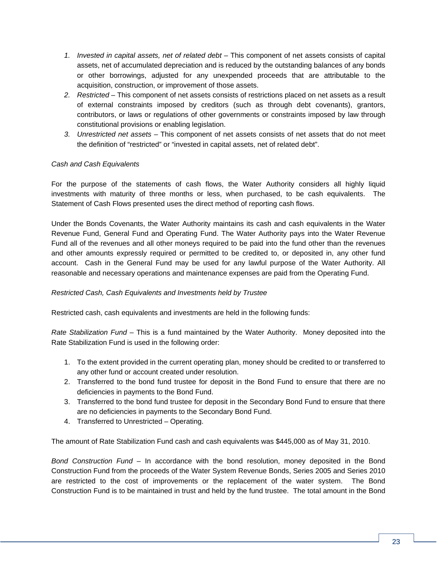- 1. Invested in capital assets, net of related debt This component of net assets consists of capital assets, net of accumulated depreciation and is reduced by the outstanding balances of any bonds or other borrowings, adjusted for any unexpended proceeds that are attributable to the acquisition, construction, or improvement of those assets.
- *2. Restricted* This component of net assets consists of restrictions placed on net assets as a result of external constraints imposed by creditors (such as through debt covenants), grantors, contributors, or laws or regulations of other governments or constraints imposed by law through constitutional provisions or enabling legislation.
- *3. Unrestricted net assets* This component of net assets consists of net assets that do not meet the definition of "restricted" or "invested in capital assets, net of related debt".

### *Cash and Cash Equivalents*

For the purpose of the statements of cash flows, the Water Authority considers all highly liquid investments with maturity of three months or less, when purchased, to be cash equivalents. The Statement of Cash Flows presented uses the direct method of reporting cash flows.

Under the Bonds Covenants, the Water Authority maintains its cash and cash equivalents in the Water Revenue Fund, General Fund and Operating Fund. The Water Authority pays into the Water Revenue Fund all of the revenues and all other moneys required to be paid into the fund other than the revenues and other amounts expressly required or permitted to be credited to, or deposited in, any other fund account. Cash in the General Fund may be used for any lawful purpose of the Water Authority. All reasonable and necessary operations and maintenance expenses are paid from the Operating Fund.

### *Restricted Cash, Cash Equivalents and Investments held by Trustee*

Restricted cash, cash equivalents and investments are held in the following funds:

*Rate Stabilization Fund* – This is a fund maintained by the Water Authority. Money deposited into the Rate Stabilization Fund is used in the following order:

- 1. To the extent provided in the current operating plan, money should be credited to or transferred to any other fund or account created under resolution.
- 2. Transferred to the bond fund trustee for deposit in the Bond Fund to ensure that there are no deficiencies in payments to the Bond Fund.
- 3. Transferred to the bond fund trustee for deposit in the Secondary Bond Fund to ensure that there are no deficiencies in payments to the Secondary Bond Fund.
- 4. Transferred to Unrestricted Operating.

The amount of Rate Stabilization Fund cash and cash equivalents was \$445,000 as of May 31, 2010.

*Bond Construction Fund –* In accordance with the bond resolution, money deposited in the Bond Construction Fund from the proceeds of the Water System Revenue Bonds, Series 2005 and Series 2010 are restricted to the cost of improvements or the replacement of the water system. The Bond Construction Fund is to be maintained in trust and held by the fund trustee. The total amount in the Bond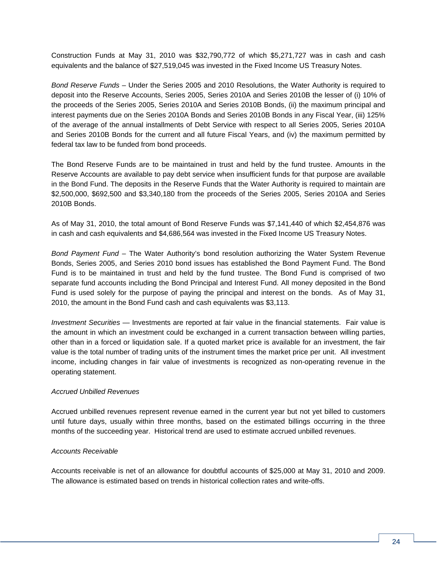Construction Funds at May 31, 2010 was \$32,790,772 of which \$5,271,727 was in cash and cash equivalents and the balance of \$27,519,045 was invested in the Fixed Income US Treasury Notes.

*Bond Reserve Funds* – Under the Series 2005 and 2010 Resolutions, the Water Authority is required to deposit into the Reserve Accounts, Series 2005, Series 2010A and Series 2010B the lesser of (i) 10% of the proceeds of the Series 2005, Series 2010A and Series 2010B Bonds, (ii) the maximum principal and interest payments due on the Series 2010A Bonds and Series 2010B Bonds in any Fiscal Year, (iii) 125% of the average of the annual installments of Debt Service with respect to all Series 2005, Series 2010A and Series 2010B Bonds for the current and all future Fiscal Years, and (iv) the maximum permitted by federal tax law to be funded from bond proceeds.

The Bond Reserve Funds are to be maintained in trust and held by the fund trustee. Amounts in the Reserve Accounts are available to pay debt service when insufficient funds for that purpose are available in the Bond Fund. The deposits in the Reserve Funds that the Water Authority is required to maintain are \$2,500,000, \$692,500 and \$3,340,180 from the proceeds of the Series 2005, Series 2010A and Series 2010B Bonds.

As of May 31, 2010, the total amount of Bond Reserve Funds was \$7,141,440 of which \$2,454,876 was in cash and cash equivalents and \$4,686,564 was invested in the Fixed Income US Treasury Notes.

*Bond Payment Fund –* The Water Authority's bond resolution authorizing the Water System Revenue Bonds, Series 2005, and Series 2010 bond issues has established the Bond Payment Fund. The Bond Fund is to be maintained in trust and held by the fund trustee. The Bond Fund is comprised of two separate fund accounts including the Bond Principal and Interest Fund. All money deposited in the Bond Fund is used solely for the purpose of paying the principal and interest on the bonds. As of May 31, 2010, the amount in the Bond Fund cash and cash equivalents was \$3,113.

*Investment Securities* — Investments are reported at fair value in the financial statements. Fair value is the amount in which an investment could be exchanged in a current transaction between willing parties, other than in a forced or liquidation sale. If a quoted market price is available for an investment, the fair value is the total number of trading units of the instrument times the market price per unit. All investment income, including changes in fair value of investments is recognized as non-operating revenue in the operating statement.

### *Accrued Unbilled Revenues*

Accrued unbilled revenues represent revenue earned in the current year but not yet billed to customers until future days, usually within three months, based on the estimated billings occurring in the three months of the succeeding year. Historical trend are used to estimate accrued unbilled revenues.

### *Accounts Receivable*

Accounts receivable is net of an allowance for doubtful accounts of \$25,000 at May 31, 2010 and 2009. The allowance is estimated based on trends in historical collection rates and write-offs.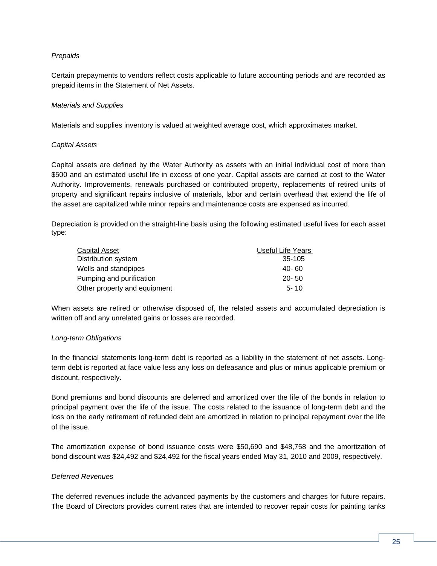### *Prepaids*

Certain prepayments to vendors reflect costs applicable to future accounting periods and are recorded as prepaid items in the Statement of Net Assets.

### *Materials and Supplies*

Materials and supplies inventory is valued at weighted average cost, which approximates market.

#### *Capital Assets*

Capital assets are defined by the Water Authority as assets with an initial individual cost of more than \$500 and an estimated useful life in excess of one year. Capital assets are carried at cost to the Water Authority. Improvements, renewals purchased or contributed property, replacements of retired units of property and significant repairs inclusive of materials, labor and certain overhead that extend the life of the asset are capitalized while minor repairs and maintenance costs are expensed as incurred.

Depreciation is provided on the straight-line basis using the following estimated useful lives for each asset type:

| Capital Asset                | Useful Life Years |
|------------------------------|-------------------|
| Distribution system          | 35-105            |
| Wells and standpipes         | 40- 60            |
| Pumping and purification     | $20 - 50$         |
| Other property and equipment | $5 - 10$          |

When assets are retired or otherwise disposed of, the related assets and accumulated depreciation is written off and any unrelated gains or losses are recorded.

### *Long-term Obligations*

In the financial statements long-term debt is reported as a liability in the statement of net assets. Longterm debt is reported at face value less any loss on defeasance and plus or minus applicable premium or discount, respectively.

Bond premiums and bond discounts are deferred and amortized over the life of the bonds in relation to principal payment over the life of the issue. The costs related to the issuance of long-term debt and the loss on the early retirement of refunded debt are amortized in relation to principal repayment over the life of the issue.

The amortization expense of bond issuance costs were \$50,690 and \$48,758 and the amortization of bond discount was \$24,492 and \$24,492 for the fiscal years ended May 31, 2010 and 2009, respectively.

### *Deferred Revenues*

The deferred revenues include the advanced payments by the customers and charges for future repairs. The Board of Directors provides current rates that are intended to recover repair costs for painting tanks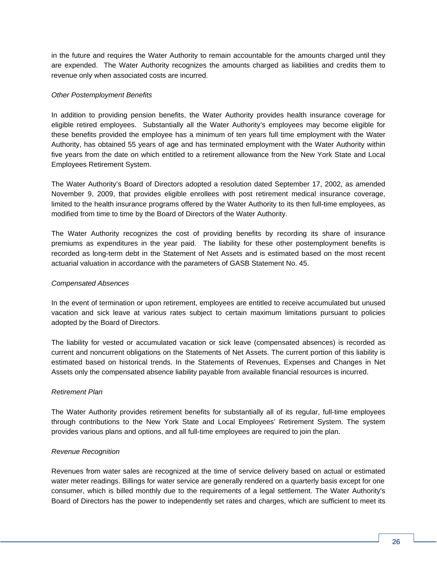in the future and requires the Water Authority to remain accountable for the amounts charged until they are expended. The Water Authority recognizes the amounts charged as liabilities and credits them to revenue only when associated costs are incurred.

### *Other Postemployment Benefits*

In addition to providing pension benefits, the Water Authority provides health insurance coverage for eligible retired employees. Substantially all the Water Authority's employees may become eligible for these benefits provided the employee has a minimum of ten years full time employment with the Water Authority, has obtained 55 years of age and has terminated employment with the Water Authority within five years from the date on which entitled to a retirement allowance from the New York State and Local Employees Retirement System.

The Water Authority's Board of Directors adopted a resolution dated September 17, 2002, as amended November 9, 2009, that provides eligible enrollees with post retirement medical insurance coverage, limited to the health insurance programs offered by the Water Authority to its then full-time employees, as modified from time to time by the Board of Directors of the Water Authority.

The Water Authority recognizes the cost of providing benefits by recording its share of insurance premiums as expenditures in the year paid. The liability for these other postemployment benefits is recorded as long-term debt in the Statement of Net Assets and is estimated based on the most recent actuarial valuation in accordance with the parameters of GASB Statement No. 45.

### *Compensated Absences*

In the event of termination or upon retirement, employees are entitled to receive accumulated but unused vacation and sick leave at various rates subject to certain maximum limitations pursuant to policies adopted by the Board of Directors.

The liability for vested or accumulated vacation or sick leave (compensated absences) is recorded as current and noncurrent obligations on the Statements of Net Assets. The current portion of this liability is estimated based on historical trends. In the Statements of Revenues, Expenses and Changes in Net Assets only the compensated absence liability payable from available financial resources is incurred.

#### *Retirement Plan*

The Water Authority provides retirement benefits for substantially all of its regular, full-time employees through contributions to the New York State and Local Employees' Retirement System. The system provides various plans and options, and all full-time employees are required to join the plan.

#### *Revenue Recognition*

Revenues from water sales are recognized at the time of service delivery based on actual or estimated water meter readings. Billings for water service are generally rendered on a quarterly basis except for one consumer, which is billed monthly due to the requirements of a legal settlement. The Water Authority's Board of Directors has the power to independently set rates and charges, which are sufficient to meet its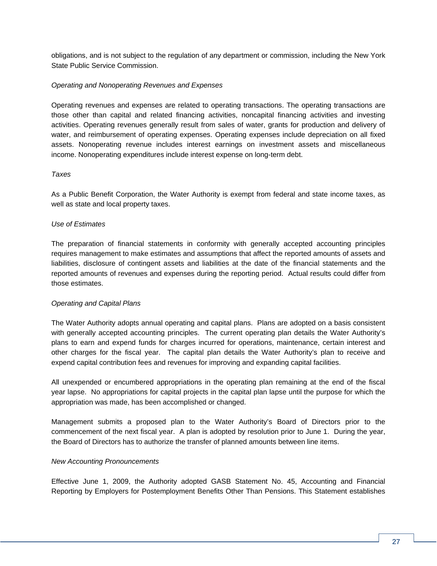obligations, and is not subject to the regulation of any department or commission, including the New York State Public Service Commission.

### *Operating and Nonoperating Revenues and Expenses*

Operating revenues and expenses are related to operating transactions. The operating transactions are those other than capital and related financing activities, noncapital financing activities and investing activities. Operating revenues generally result from sales of water, grants for production and delivery of water, and reimbursement of operating expenses. Operating expenses include depreciation on all fixed assets. Nonoperating revenue includes interest earnings on investment assets and miscellaneous income. Nonoperating expenditures include interest expense on long-term debt.

#### *Taxes*

As a Public Benefit Corporation, the Water Authority is exempt from federal and state income taxes, as well as state and local property taxes.

#### *Use of Estimates*

The preparation of financial statements in conformity with generally accepted accounting principles requires management to make estimates and assumptions that affect the reported amounts of assets and liabilities, disclosure of contingent assets and liabilities at the date of the financial statements and the reported amounts of revenues and expenses during the reporting period. Actual results could differ from those estimates.

### *Operating and Capital Plans*

The Water Authority adopts annual operating and capital plans. Plans are adopted on a basis consistent with generally accepted accounting principles. The current operating plan details the Water Authority's plans to earn and expend funds for charges incurred for operations, maintenance, certain interest and other charges for the fiscal year. The capital plan details the Water Authority's plan to receive and expend capital contribution fees and revenues for improving and expanding capital facilities.

All unexpended or encumbered appropriations in the operating plan remaining at the end of the fiscal year lapse. No appropriations for capital projects in the capital plan lapse until the purpose for which the appropriation was made, has been accomplished or changed.

Management submits a proposed plan to the Water Authority's Board of Directors prior to the commencement of the next fiscal year. A plan is adopted by resolution prior to June 1. During the year, the Board of Directors has to authorize the transfer of planned amounts between line items.

#### *New Accounting Pronouncements*

Effective June 1, 2009, the Authority adopted GASB Statement No. 45, Accounting and Financial Reporting by Employers for Postemployment Benefits Other Than Pensions. This Statement establishes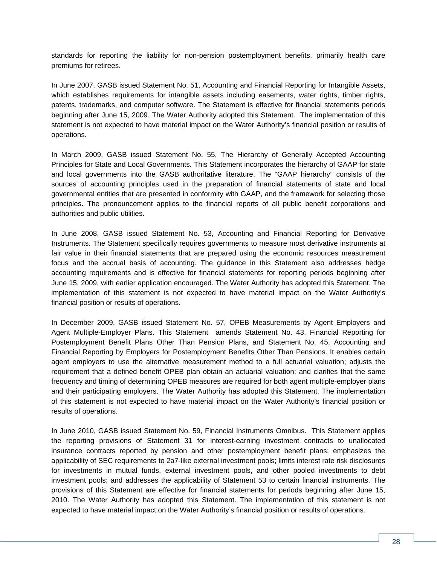standards for reporting the liability for non-pension postemployment benefits, primarily health care premiums for retirees.

In June 2007, GASB issued Statement No. 51, Accounting and Financial Reporting for Intangible Assets, which establishes requirements for intangible assets including easements, water rights, timber rights, patents, trademarks, and computer software. The Statement is effective for financial statements periods beginning after June 15, 2009. The Water Authority adopted this Statement. The implementation of this statement is not expected to have material impact on the Water Authority's financial position or results of operations.

In March 2009, GASB issued Statement No. 55, The Hierarchy of Generally Accepted Accounting Principles for State and Local Governments*.* This Statement incorporates the hierarchy of GAAP for state and local governments into the GASB authoritative literature. The "GAAP hierarchy" consists of the sources of accounting principles used in the preparation of financial statements of state and local governmental entities that are presented in conformity with GAAP, and the framework for selecting those principles. The pronouncement applies to the financial reports of all public benefit corporations and authorities and public utilities.

In June 2008, GASB issued Statement No. 53, Accounting and Financial Reporting for Derivative Instruments. The Statement specifically requires governments to measure most derivative instruments at fair value in their financial statements that are prepared using the economic resources measurement focus and the accrual basis of accounting. The guidance in this Statement also addresses hedge accounting requirements and is effective for financial statements for reporting periods beginning after June 15, 2009, with earlier application encouraged. The Water Authority has adopted this Statement. The implementation of this statement is not expected to have material impact on the Water Authority's financial position or results of operations.

In December 2009, GASB issued Statement No. 57, OPEB Measurements by Agent Employers and Agent Multiple-Employer Plans. This Statement amends Statement No. 43, Financial Reporting for Postemployment Benefit Plans Other Than Pension Plans, and Statement No. 45, Accounting and Financial Reporting by Employers for Postemployment Benefits Other Than Pensions. It enables certain agent employers to use the alternative measurement method to a full actuarial valuation; adjusts the requirement that a defined benefit OPEB plan obtain an actuarial valuation; and clarifies that the same frequency and timing of determining OPEB measures are required for both agent multiple-employer plans and their participating employers. The Water Authority has adopted this Statement. The implementation of this statement is not expected to have material impact on the Water Authority's financial position or results of operations.

In June 2010, GASB issued Statement No. 59, Financial Instruments Omnibus. This Statement applies the reporting provisions of Statement 31 for interest-earning investment contracts to unallocated insurance contracts reported by pension and other postemployment benefit plans; emphasizes the applicability of SEC requirements to 2a7-like external investment pools; limits interest rate risk disclosures for investments in mutual funds, external investment pools, and other pooled investments to debt investment pools; and addresses the applicability of Statement 53 to certain financial instruments. The provisions of this Statement are effective for financial statements for periods beginning after June 15, 2010. The Water Authority has adopted this Statement. The implementation of this statement is not expected to have material impact on the Water Authority's financial position or results of operations.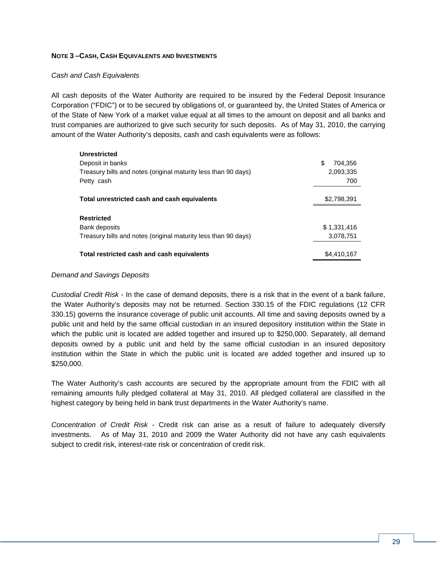### **NOTE 3 –CASH, CASH EQUIVALENTS AND INVESTMENTS**

#### *Cash and Cash Equivalents*

All cash deposits of the Water Authority are required to be insured by the Federal Deposit Insurance Corporation ("FDIC") or to be secured by obligations of, or guaranteed by, the United States of America or of the State of New York of a market value equal at all times to the amount on deposit and all banks and trust companies are authorized to give such security for such deposits.As of May 31, 2010, the carrying amount of the Water Authority's deposits, cash and cash equivalents were as follows:

| <b>Unrestricted</b>                                            |                |
|----------------------------------------------------------------|----------------|
| Deposit in banks                                               | \$.<br>704.356 |
| Treasury bills and notes (original maturity less than 90 days) | 2,093,335      |
| Petty cash                                                     | 700            |
|                                                                |                |
| Total unrestricted cash and cash equivalents                   | \$2,798,391    |
|                                                                |                |
| <b>Restricted</b>                                              |                |
| Bank deposits                                                  | \$1,331,416    |
| Treasury bills and notes (original maturity less than 90 days) | 3,078,751      |
|                                                                |                |
| Total restricted cash and cash equivalents                     | \$4,410,167    |

#### *Demand and Savings Deposits*

*Custodial Credit Risk* - In the case of demand deposits, there is a risk that in the event of a bank failure, the Water Authority's deposits may not be returned. Section 330.15 of the FDIC regulations (12 CFR 330.15) governs the insurance coverage of public unit accounts. All time and saving deposits owned by a public unit and held by the same official custodian in an insured depository institution within the State in which the public unit is located are added together and insured up to \$250,000. Separately, all demand deposits owned by a public unit and held by the same official custodian in an insured depository institution within the State in which the public unit is located are added together and insured up to \$250,000.

The Water Authority's cash accounts are secured by the appropriate amount from the FDIC with all remaining amounts fully pledged collateral at May 31, 2010. All pledged collateral are classified in the highest category by being held in bank trust departments in the Water Authority's name.

*Concentration of Credit Risk* - Credit risk can arise as a result of failure to adequately diversify investments. As of May 31, 2010 and 2009 the Water Authority did not have any cash equivalents subject to credit risk, interest-rate risk or concentration of credit risk.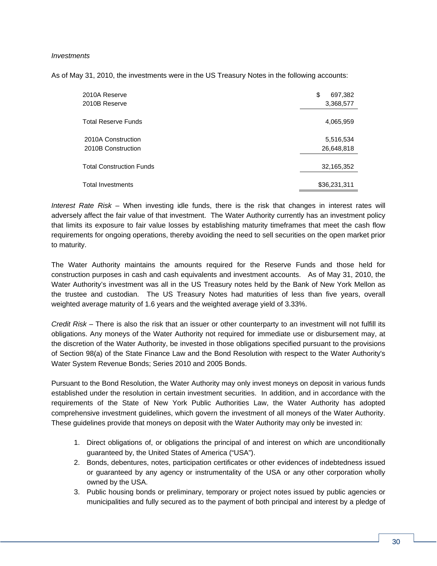### *Investments*

As of May 31, 2010, the investments were in the US Treasury Notes in the following accounts:

| 2010A Reserve<br>2010B Reserve           | \$<br>697,382<br>3,368,577 |
|------------------------------------------|----------------------------|
| <b>Total Reserve Funds</b>               | 4,065,959                  |
| 2010A Construction<br>2010B Construction | 5,516,534<br>26,648,818    |
| <b>Total Construction Funds</b>          | 32,165,352                 |
| <b>Total Investments</b>                 | \$36,231,311               |

*Interest Rate Risk –* When investing idle funds, there is the risk that changes in interest rates will adversely affect the fair value of that investment. The Water Authority currently has an investment policy that limits its exposure to fair value losses by establishing maturity timeframes that meet the cash flow requirements for ongoing operations, thereby avoiding the need to sell securities on the open market prior to maturity.

The Water Authority maintains the amounts required for the Reserve Funds and those held for construction purposes in cash and cash equivalents and investment accounts. As of May 31, 2010, the Water Authority's investment was all in the US Treasury notes held by the Bank of New York Mellon as the trustee and custodian. The US Treasury Notes had maturities of less than five years, overall weighted average maturity of 1.6 years and the weighted average yield of 3.33%.

*Credit Risk –* There is also the risk that an issuer or other counterparty to an investment will not fulfill its obligations. Any moneys of the Water Authority not required for immediate use or disbursement may, at the discretion of the Water Authority, be invested in those obligations specified pursuant to the provisions of Section 98(a) of the State Finance Law and the Bond Resolution with respect to the Water Authority's Water System Revenue Bonds; Series 2010 and 2005 Bonds.

Pursuant to the Bond Resolution, the Water Authority may only invest moneys on deposit in various funds established under the resolution in certain investment securities. In addition, and in accordance with the requirements of the State of New York Public Authorities Law, the Water Authority has adopted comprehensive investment guidelines, which govern the investment of all moneys of the Water Authority. These guidelines provide that moneys on deposit with the Water Authority may only be invested in:

- 1. Direct obligations of, or obligations the principal of and interest on which are unconditionally guaranteed by, the United States of America ("USA").
- 2. Bonds, debentures, notes, participation certificates or other evidences of indebtedness issued or guaranteed by any agency or instrumentality of the USA or any other corporation wholly owned by the USA.
- 3. Public housing bonds or preliminary, temporary or project notes issued by public agencies or municipalities and fully secured as to the payment of both principal and interest by a pledge of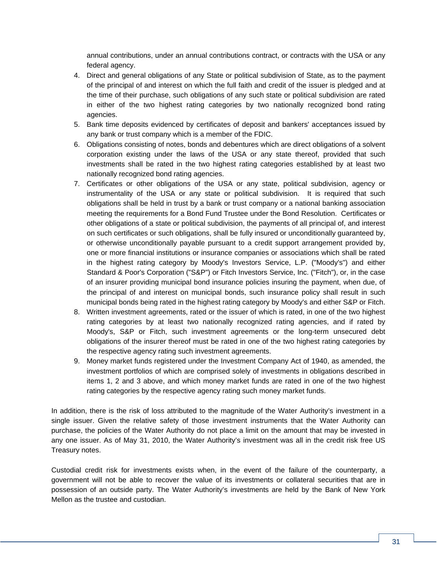annual contributions, under an annual contributions contract, or contracts with the USA or any federal agency.

- 4. Direct and general obligations of any State or political subdivision of State, as to the payment of the principal of and interest on which the full faith and credit of the issuer is pledged and at the time of their purchase, such obligations of any such state or political subdivision are rated in either of the two highest rating categories by two nationally recognized bond rating agencies.
- 5. Bank time deposits evidenced by certificates of deposit and bankers' acceptances issued by any bank or trust company which is a member of the FDIC.
- 6. Obligations consisting of notes, bonds and debentures which are direct obligations of a solvent corporation existing under the laws of the USA or any state thereof, provided that such investments shall be rated in the two highest rating categories established by at least two nationally recognized bond rating agencies.
- 7. Certificates or other obligations of the USA or any state, political subdivision, agency or instrumentality of the USA or any state or political subdivision. It is required that such obligations shall be held in trust by a bank or trust company or a national banking association meeting the requirements for a Bond Fund Trustee under the Bond Resolution. Certificates or other obligations of a state or political subdivision, the payments of all principal of, and interest on such certificates or such obligations, shall be fully insured or unconditionally guaranteed by, or otherwise unconditionally payable pursuant to a credit support arrangement provided by, one or more financial institutions or insurance companies or associations which shall be rated in the highest rating category by Moody's Investors Service, L.P. ("Moody's") and either Standard & Poor's Corporation ("S&P") or Fitch Investors Service, Inc. ("Fitch"), or, in the case of an insurer providing municipal bond insurance policies insuring the payment, when due, of the principal of and interest on municipal bonds, such insurance policy shall result in such municipal bonds being rated in the highest rating category by Moody's and either S&P or Fitch.
- 8. Written investment agreements, rated or the issuer of which is rated, in one of the two highest rating categories by at least two nationally recognized rating agencies, and if rated by Moody's, S&P or Fitch, such investment agreements or the long-term unsecured debt obligations of the insurer thereof must be rated in one of the two highest rating categories by the respective agency rating such investment agreements.
- 9. Money market funds registered under the Investment Company Act of 1940, as amended, the investment portfolios of which are comprised solely of investments in obligations described in items 1, 2 and 3 above, and which money market funds are rated in one of the two highest rating categories by the respective agency rating such money market funds.

In addition, there is the risk of loss attributed to the magnitude of the Water Authority's investment in a single issuer. Given the relative safety of those investment instruments that the Water Authority can purchase, the policies of the Water Authority do not place a limit on the amount that may be invested in any one issuer. As of May 31, 2010, the Water Authority's investment was all in the credit risk free US Treasury notes.

Custodial credit risk for investments exists when, in the event of the failure of the counterparty, a government will not be able to recover the value of its investments or collateral securities that are in possession of an outside party. The Water Authority's investments are held by the Bank of New York Mellon as the trustee and custodian.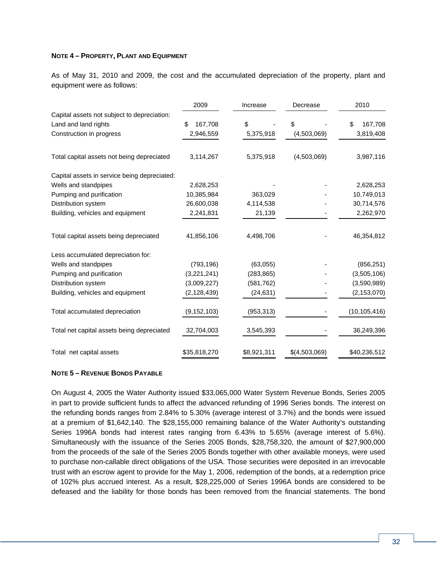### **NOTE 4 – PROPERTY, PLANT AND EQUIPMENT**

As of May 31, 2010 and 2009, the cost and the accumulated depreciation of the property, plant and equipment were as follows:

|                                              | 2009<br>Increase |             | Decrease      | 2010           |
|----------------------------------------------|------------------|-------------|---------------|----------------|
| Capital assets not subject to depreciation:  |                  |             |               |                |
| Land and land rights                         | \$<br>167,708    | \$          | \$            | \$<br>167,708  |
| Construction in progress                     | 2,946,559        | 5,375,918   | (4,503,069)   | 3,819,408      |
| Total capital assets not being depreciated   | 3,114,267        | 5,375,918   | (4,503,069)   | 3,987,116      |
| Capital assets in service being depreciated: |                  |             |               |                |
| Wells and standpipes                         | 2,628,253        |             |               | 2,628,253      |
| Pumping and purification                     | 10,385,984       | 363,029     |               | 10,749,013     |
| Distribution system                          | 26,600,038       | 4,114,538   |               | 30,714,576     |
| Building, vehicles and equipment             | 2,241,831        | 21,139      |               | 2,262,970      |
| Total capital assets being depreciated       | 41,856,106       | 4,498,706   |               | 46,354,812     |
| Less accumulated depreciation for:           |                  |             |               |                |
| Wells and standpipes                         | (793, 196)       | (63,055)    |               | (856, 251)     |
| Pumping and purification                     | (3,221,241)      | (283, 865)  |               | (3,505,106)    |
| Distribution system                          | (3,009,227)      | (581, 762)  |               | (3,590,989)    |
| Building, vehicles and equipment             | (2, 128, 439)    | (24, 631)   |               | (2, 153, 070)  |
| Total accumulated depreciation               | (9, 152, 103)    | (953, 313)  |               | (10, 105, 416) |
| Total net capital assets being depreciated   | 32,704,003       | 3,545,393   |               | 36,249,396     |
| Total net capital assets                     | \$35,818,270     | \$8,921,311 | \$(4,503,069) | \$40,236,512   |

#### **NOTE 5 – REVENUE BONDS PAYABLE**

On August 4, 2005 the Water Authority issued \$33,065,000 Water System Revenue Bonds, Series 2005 in part to provide sufficient funds to affect the advanced refunding of 1996 Series bonds. The interest on the refunding bonds ranges from 2.84% to 5.30% (average interest of 3.7%) and the bonds were issued at a premium of \$1,642,140. The \$28,155,000 remaining balance of the Water Authority's outstanding Series 1996A bonds had interest rates ranging from 6.43% to 5.65% (average interest of 5.6%). Simultaneously with the issuance of the Series 2005 Bonds, \$28,758,320, the amount of \$27,900,000 from the proceeds of the sale of the Series 2005 Bonds together with other available moneys, were used to purchase non-callable direct obligations of the USA. Those securities were deposited in an irrevocable trust with an escrow agent to provide for the May 1, 2006, redemption of the bonds, at a redemption price of 102% plus accrued interest. As a result, \$28,225,000 of Series 1996A bonds are considered to be defeased and the liability for those bonds has been removed from the financial statements. The bond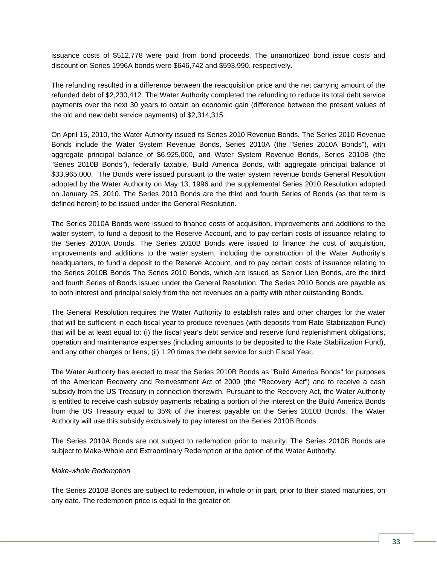issuance costs of \$512,778 were paid from bond proceeds. The unamortized bond issue costs and discount on Series 1996A bonds were \$646,742 and \$593,990, respectively.

The refunding resulted in a difference between the reacquisition price and the net carrying amount of the refunded debt of \$2,230,412. The Water Authority completed the refunding to reduce its total debt service payments over the next 30 years to obtain an economic gain (difference between the present values of the old and new debt service payments) of \$2,314,315.

On April 15, 2010, the Water Authority issued its Series 2010 Revenue Bonds. The Series 2010 Revenue Bonds include the Water System Revenue Bonds, Series 2010A (the "Series 2010A Bonds"), with aggregate principal balance of \$6,925,000, and Water System Revenue Bonds, Series 2010B (the "Series 2010B Bonds"), federally taxable, Build America Bonds, with aggregate principal balance of \$33,965,000. The Bonds were issued pursuant to the water system revenue bonds General Resolution adopted by the Water Authority on May 13, 1996 and the supplemental Series 2010 Resolution adopted on January 25, 2010. The Series 2010 Bonds are the third and fourth Series of Bonds (as that term is defined herein) to be issued under the General Resolution.

The Series 2010A Bonds were issued to finance costs of acquisition, improvements and additions to the water system, to fund a deposit to the Reserve Account, and to pay certain costs of issuance relating to the Series 2010A Bonds. The Series 2010B Bonds were issued to finance the cost of acquisition, improvements and additions to the water system, including the construction of the Water Authority's headquarters, to fund a deposit to the Reserve Account, and to pay certain costs of issuance relating to the Series 2010B Bonds The Series 2010 Bonds, which are issued as Senior Lien Bonds, are the third and fourth Series of Bonds issued under the General Resolution. The Series 2010 Bonds are payable as to both interest and principal solely from the net revenues on a parity with other outstanding Bonds.

The General Resolution requires the Water Authority to establish rates and other charges for the water that will be sufficient in each fiscal year to produce revenues (with deposits from Rate Stabilization Fund) that will be at least equal to: (i) the fiscal year's debt service and reserve fund replenishment obligations, operation and maintenance expenses (including amounts to be deposited to the Rate Stabilization Fund), and any other charges or liens; (ii) 1.20 times the debt service for such Fiscal Year.

The Water Authority has elected to treat the Series 2010B Bonds as "Build America Bonds" for purposes of the American Recovery and Reinvestment Act of 2009 (the "Recovery Act") and to receive a cash subsidy from the US Treasury in connection therewith. Pursuant to the Recovery Act, the Water Authority is entitled to receive cash subsidy payments rebating a portion of the interest on the Build America Bonds from the US Treasury equal to 35% of the interest payable on the Series 2010B Bonds. The Water Authority will use this subsidy exclusively to pay interest on the Series 2010B Bonds.

The Series 2010A Bonds are not subject to redemption prior to maturity. The Series 2010B Bonds are subject to Make-Whole and Extraordinary Redemption at the option of the Water Authority.

### *Make-whole Redemption*

The Series 2010B Bonds are subject to redemption, in whole or in part, prior to their stated maturities, on any date. The redemption price is equal to the greater of: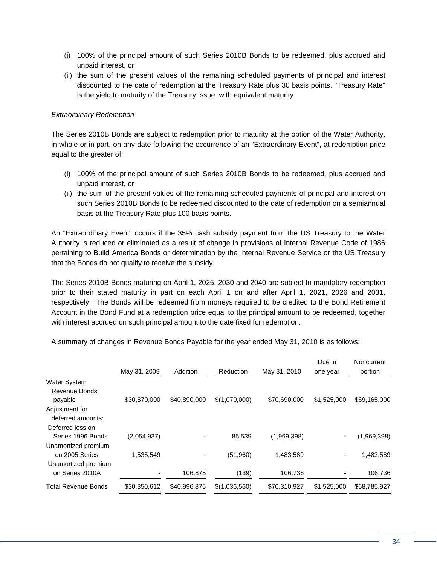- (i) 100% of the principal amount of such Series 2010B Bonds to be redeemed, plus accrued and unpaid interest, or
- (ii) the sum of the present values of the remaining scheduled payments of principal and interest discounted to the date of redemption at the Treasury Rate plus 30 basis points. "Treasury Rate" is the yield to maturity of the Treasury Issue, with equivalent maturity.

### *Extraordinary Redemption*

The Series 2010B Bonds are subject to redemption prior to maturity at the option of the Water Authority, in whole or in part, on any date following the occurrence of an "Extraordinary Event", at redemption price equal to the greater of:

- (i) 100% of the principal amount of such Series 2010B Bonds to be redeemed, plus accrued and unpaid interest, or
- (ii) the sum of the present values of the remaining scheduled payments of principal and interest on such Series 2010B Bonds to be redeemed discounted to the date of redemption on a semiannual basis at the Treasury Rate plus 100 basis points.

An "Extraordinary Event" occurs if the 35% cash subsidy payment from the US Treasury to the Water Authority is reduced or eliminated as a result of change in provisions of Internal Revenue Code of 1986 pertaining to Build America Bonds or determination by the Internal Revenue Service or the US Treasury that the Bonds do not qualify to receive the subsidy.

The Series 2010B Bonds maturing on April 1, 2025, 2030 and 2040 are subject to mandatory redemption prior to their stated maturity in part on each April 1 on and after April 1, 2021, 2026 and 2031, respectively. The Bonds will be redeemed from moneys required to be credited to the Bond Retirement Account in the Bond Fund at a redemption price equal to the principal amount to be redeemed, together with interest accrued on such principal amount to the date fixed for redemption.

A summary of changes in Revenue Bonds Payable for the year ended May 31, 2010 is as follows:

|                                     | May 31, 2009 | Addition                 | Reduction     | May 31, 2010 | Due in<br>one year | Noncurrent<br>portion |
|-------------------------------------|--------------|--------------------------|---------------|--------------|--------------------|-----------------------|
| <b>Water System</b>                 |              |                          |               |              |                    |                       |
| Revenue Bonds                       |              |                          |               |              |                    |                       |
| payable                             | \$30,870,000 | \$40,890,000             | \$(1,070,000) | \$70,690,000 | \$1,525,000        | \$69,165,000          |
| Adjustment for<br>deferred amounts: |              |                          |               |              |                    |                       |
| Deferred loss on                    |              |                          |               |              |                    |                       |
| Series 1996 Bonds                   | (2,054,937)  | $\overline{\phantom{a}}$ | 85,539        | (1,969,398)  |                    | (1,969,398)           |
| Unamortized premium                 |              |                          |               |              |                    |                       |
| on 2005 Series                      | 1,535,549    | $\overline{\phantom{a}}$ | (51,960)      | 1,483,589    |                    | 1,483,589             |
| Unamortized premium                 |              |                          |               |              |                    |                       |
| on Series 2010A                     |              | 106,875                  | (139)         | 106,736      |                    | 106,736               |
| Total Revenue Bonds                 | \$30,350,612 | \$40,996,875             | \$(1,036,560) | \$70,310,927 | \$1,525,000        | \$68,785,927          |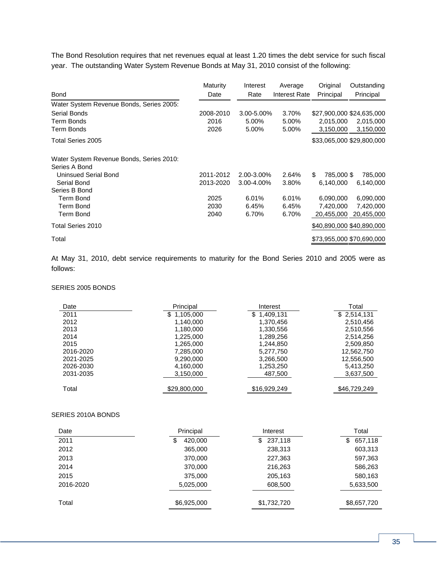The Bond Resolution requires that net revenues equal at least 1.20 times the debt service for such fiscal year. The outstanding Water System Revenue Bonds at May 31, 2010 consist of the following:

|                                          | Maturity          | Interest       | Average        | Original               | Outstanding               |
|------------------------------------------|-------------------|----------------|----------------|------------------------|---------------------------|
| <b>Bond</b>                              | Date              | Rate           | Interest Rate  | Principal              | Principal                 |
| Water System Revenue Bonds, Series 2005: |                   |                |                |                        |                           |
| <b>Serial Bonds</b><br>Term Bonds        | 2008-2010<br>2016 | 3.00-5.00%     | 3.70%<br>5.00% |                        | \$27,900,000 \$24,635,000 |
| Term Bonds                               | 2026              | 5.00%<br>5.00% | 5.00%          | 2,015,000<br>3,150,000 | 2,015,000<br>3,150,000    |
| Total Series 2005                        |                   |                |                |                        | \$33,065,000 \$29,800,000 |
| Water System Revenue Bonds, Series 2010: |                   |                |                |                        |                           |
| Series A Bond                            |                   |                |                |                        |                           |
| <b>Uninsued Serial Bond</b>              | 2011-2012         | 2.00-3.00%     | 2.64%          | \$.<br>785,000 \$      | 785,000                   |
| Serial Bond                              | 2013-2020         | 3.00-4.00%     | 3.80%          | 6,140,000              | 6,140,000                 |
| Series B Bond                            |                   |                |                |                        |                           |
| <b>Term Bond</b>                         | 2025              | 6.01%          | 6.01%          | 6,090,000              | 6,090,000                 |
| <b>Term Bond</b>                         | 2030              | 6.45%          | 6.45%          | 7,420,000              | 7,420,000                 |
| Term Bond                                | 2040              | 6.70%          | 6.70%          | 20,455,000             | 20,455,000                |
| Total Series 2010                        |                   |                |                |                        | \$40,890,000 \$40,890,000 |
| Total                                    |                   |                |                |                        | \$73,955,000 \$70,690,000 |

At May 31, 2010, debt service requirements to maturity for the Bond Series 2010 and 2005 were as follows:

#### SERIES 2005 BONDS

| Date      | Principal       | Interest       | Total        |
|-----------|-----------------|----------------|--------------|
| 2011      | 1,105,000<br>\$ | 1,409,131<br>S | \$2,514,131  |
| 2012      | 1,140,000       | 1,370,456      | 2,510,456    |
| 2013      | 1,180,000       | 1,330,556      | 2,510,556    |
| 2014      | 1,225,000       | 1,289,256      | 2,514,256    |
| 2015      | 1,265,000       | 1,244,850      | 2,509,850    |
| 2016-2020 | 7,285,000       | 5,277,750      | 12,562,750   |
| 2021-2025 | 9,290,000       | 3,266,500      | 12,556,500   |
| 2026-2030 | 4,160,000       | 1,253,250      | 5,413,250    |
| 2031-2035 | 3,150,000       | 487,500        | 3,637,500    |
| Total     | \$29,800,000    | \$16,929,249   | \$46,729,249 |

### SERIES 2010A BONDS

| Date      | Principal   | Interest      | Total        |
|-----------|-------------|---------------|--------------|
| 2011      | 420,000     | 237,118<br>S. | 657,118<br>S |
| 2012      | 365,000     | 238,313       | 603,313      |
| 2013      | 370,000     | 227,363       | 597,363      |
| 2014      | 370,000     | 216,263       | 586,263      |
| 2015      | 375,000     | 205,163       | 580,163      |
| 2016-2020 | 5,025,000   | 608,500       | 5,633,500    |
| Total     | \$6,925,000 | \$1,732,720   | \$8,657,720  |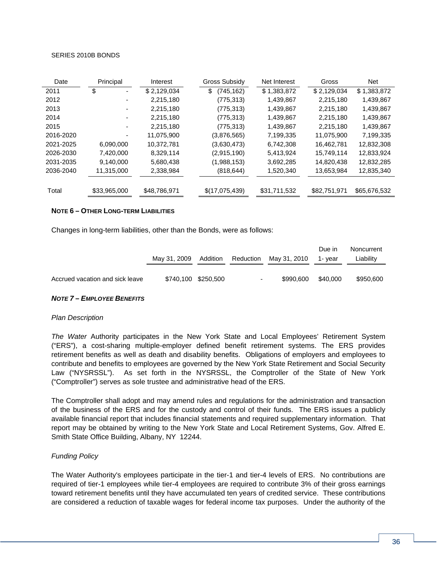#### SERIES 2010B BONDS

| Date      | Principal    | Interest     | Gross Subsidy    | Net Interest | Gross        | <b>Net</b>   |
|-----------|--------------|--------------|------------------|--------------|--------------|--------------|
| 2011      | \$           | \$2,129,034  | (745, 162)<br>\$ | \$1,383,872  | \$2,129,034  | \$1,383,872  |
| 2012      |              | 2,215,180    | (775,313)        | 1,439,867    | 2,215,180    | 1,439,867    |
| 2013      |              | 2,215,180    | (775, 313)       | 1,439,867    | 2,215,180    | 1,439,867    |
| 2014      |              | 2,215,180    | (775, 313)       | 1,439,867    | 2,215,180    | 1,439,867    |
| 2015      |              | 2,215,180    | (775, 313)       | 1,439,867    | 2,215,180    | 1,439,867    |
| 2016-2020 |              | 11.075.900   | (3,876,565)      | 7,199,335    | 11,075,900   | 7,199,335    |
| 2021-2025 | 6.090.000    | 10,372,781   | (3,630,473)      | 6,742,308    | 16,462,781   | 12,832,308   |
| 2026-2030 | 7,420,000    | 8,329,114    | (2,915,190)      | 5,413,924    | 15,749,114   | 12,833,924   |
| 2031-2035 | 9.140.000    | 5,680,438    | (1,988,153)      | 3,692,285    | 14,820,438   | 12,832,285   |
| 2036-2040 | 11,315,000   | 2,338,984    | (818, 644)       | 1,520,340    | 13,653,984   | 12,835,340   |
|           |              |              |                  |              |              |              |
| Total     | \$33,965,000 | \$48,786,971 | \$(17,075,439)   | \$31,711,532 | \$82,751,971 | \$65,676,532 |

#### **NOTE 6 – OTHER LONG-TERM LIABILITIES**

Changes in long-term liabilities, other than the Bonds, were as follows:

|                                 | May 31, 2009 Addition |                     | Reduction | May 31, 2010 | Due in<br>1- vear | Noncurrent<br>Liability |
|---------------------------------|-----------------------|---------------------|-----------|--------------|-------------------|-------------------------|
| Accrued vacation and sick leave |                       | \$740,100 \$250,500 | $\sim$    | \$990,600    | \$40.000          | \$950.600               |

#### *NOTE 7 – EMPLOYEE BENEFITS*

#### *Plan Description*

*The Water* Authority participates in the New York State and Local Employees' Retirement System ("ERS"), a cost-sharing multiple-employer defined benefit retirement systems. The ERS provides retirement benefits as well as death and disability benefits. Obligations of employers and employees to contribute and benefits to employees are governed by the New York State Retirement and Social Security Law ("NYSRSSL"). As set forth in the NYSRSSL, the Comptroller of the State of New York ("Comptroller") serves as sole trustee and administrative head of the ERS.

The Comptroller shall adopt and may amend rules and regulations for the administration and transaction of the business of the ERS and for the custody and control of their funds. The ERS issues a publicly available financial report that includes financial statements and required supplementary information. That report may be obtained by writing to the New York State and Local Retirement Systems, Gov. Alfred E. Smith State Office Building, Albany, NY 12244.

#### *Funding Policy*

The Water Authority's employees participate in the tier-1 and tier-4 levels of ERS. No contributions are required of tier-1 employees while tier-4 employees are required to contribute 3% of their gross earnings toward retirement benefits until they have accumulated ten years of credited service. These contributions are considered a reduction of taxable wages for federal income tax purposes. Under the authority of the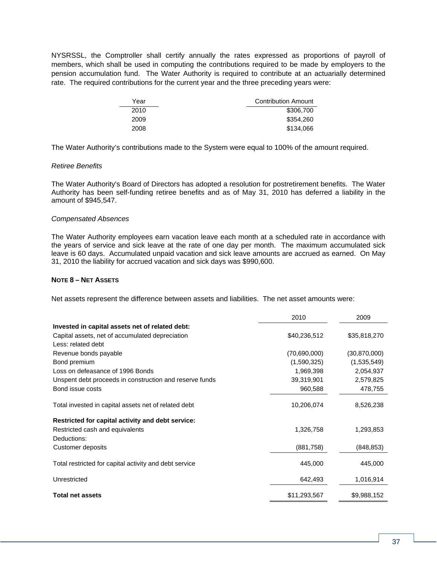NYSRSSL, the Comptroller shall certify annually the rates expressed as proportions of payroll of members, which shall be used in computing the contributions required to be made by employers to the pension accumulation fund. The Water Authority is required to contribute at an actuarially determined rate. The required contributions for the current year and the three preceding years were:

| Year | <b>Contribution Amount</b> |
|------|----------------------------|
| 2010 | \$306,700                  |
| 2009 | \$354,260                  |
| 2008 | \$134,066                  |

The Water Authority's contributions made to the System were equal to 100% of the amount required.

#### *Retiree Benefits*

The Water Authority's Board of Directors has adopted a resolution for postretirement benefits. The Water Authority has been self-funding retiree benefits and as of May 31, 2010 has deferred a liability in the amount of \$945,547.

#### *Compensated Absences*

The Water Authority employees earn vacation leave each month at a scheduled rate in accordance with the years of service and sick leave at the rate of one day per month. The maximum accumulated sick leave is 60 days. Accumulated unpaid vacation and sick leave amounts are accrued as earned. On May 31, 2010 the liability for accrued vacation and sick days was \$990,600.

#### **NOTE 8 – NET ASSETS**

Net assets represent the difference between assets and liabilities. The net asset amounts were:

|                                                         | 2010         | 2009           |
|---------------------------------------------------------|--------------|----------------|
| Invested in capital assets net of related debt:         |              |                |
| Capital assets, net of accumulated depreciation         | \$40,236,512 | \$35,818,270   |
| Less: related debt                                      |              |                |
| Revenue bonds payable                                   | (70,690,000) | (30, 870, 000) |
| Bond premium                                            | (1,590,325)  | (1,535,549)    |
| Loss on defeasance of 1996 Bonds                        | 1,969,398    | 2,054,937      |
| Unspent debt proceeds in construction and reserve funds | 39,319,901   | 2,579,825      |
| Bond issue costs                                        | 960,588      | 478,755        |
| Total invested in capital assets net of related debt    | 10,206,074   | 8,526,238      |
| Restricted for capital activity and debt service:       |              |                |
| Restricted cash and equivalents                         | 1,326,758    | 1,293,853      |
| Deductions:                                             |              |                |
| Customer deposits                                       | (881,758)    | (848, 853)     |
| Total restricted for capital activity and debt service  | 445,000      | 445,000        |
| Unrestricted                                            | 642,493      | 1,016,914      |
| <b>Total net assets</b>                                 | \$11,293,567 | \$9,988,152    |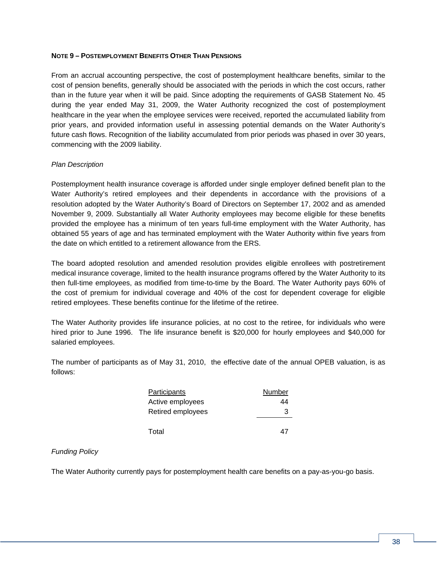### **NOTE 9 – POSTEMPLOYMENT BENEFITS OTHER THAN PENSIONS**

From an accrual accounting perspective, the cost of postemployment healthcare benefits, similar to the cost of pension benefits, generally should be associated with the periods in which the cost occurs, rather than in the future year when it will be paid. Since adopting the requirements of GASB Statement No. 45 during the year ended May 31, 2009, the Water Authority recognized the cost of postemployment healthcare in the year when the employee services were received, reported the accumulated liability from prior years, and provided information useful in assessing potential demands on the Water Authority's future cash flows. Recognition of the liability accumulated from prior periods was phased in over 30 years, commencing with the 2009 liability.

#### *Plan Description*

Postemployment health insurance coverage is afforded under single employer defined benefit plan to the Water Authority's retired employees and their dependents in accordance with the provisions of a resolution adopted by the Water Authority's Board of Directors on September 17, 2002 and as amended November 9, 2009. Substantially all Water Authority employees may become eligible for these benefits provided the employee has a minimum of ten years full-time employment with the Water Authority, has obtained 55 years of age and has terminated employment with the Water Authority within five years from the date on which entitled to a retirement allowance from the ERS.

The board adopted resolution and amended resolution provides eligible enrollees with postretirement medical insurance coverage, limited to the health insurance programs offered by the Water Authority to its then full-time employees, as modified from time-to-time by the Board. The Water Authority pays 60% of the cost of premium for individual coverage and 40% of the cost for dependent coverage for eligible retired employees. These benefits continue for the lifetime of the retiree.

The Water Authority provides life insurance policies, at no cost to the retiree, for individuals who were hired prior to June 1996. The life insurance benefit is \$20,000 for hourly employees and \$40,000 for salaried employees.

The number of participants as of May 31, 2010, the effective date of the annual OPEB valuation, is as follows:

| <b>Participants</b> | Number |
|---------------------|--------|
| Active employees    | 44     |
| Retired employees   | З      |
| Total               |        |

#### *Funding Policy*

The Water Authority currently pays for postemployment health care benefits on a pay-as-you-go basis.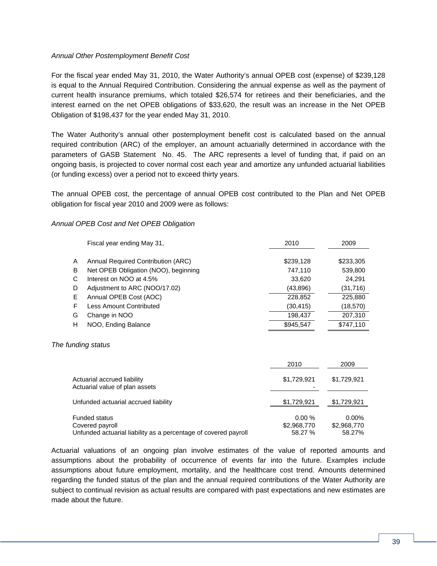### *Annual Other Postemployment Benefit Cost*

For the fiscal year ended May 31, 2010, the Water Authority's annual OPEB cost (expense) of \$239,128 is equal to the Annual Required Contribution. Considering the annual expense as well as the payment of current health insurance premiums, which totaled \$26,574 for retirees and their beneficiaries, and the interest earned on the net OPEB obligations of \$33,620, the result was an increase in the Net OPEB Obligation of \$198,437 for the year ended May 31, 2010.

The Water Authority's annual other postemployment benefit cost is calculated based on the annual required contribution (ARC) of the employer, an amount actuarially determined in accordance with the parameters of GASB Statement No. 45. The ARC represents a level of funding that, if paid on an ongoing basis, is projected to cover normal cost each year and amortize any unfunded actuarial liabilities (or funding excess) over a period not to exceed thirty years.

The annual OPEB cost, the percentage of annual OPEB cost contributed to the Plan and Net OPEB obligation for fiscal year 2010 and 2009 were as follows:

#### *Annual OPEB Cost and Net OPEB Obligation*

|   | Fiscal year ending May 31,           | 2010      | 2009      |
|---|--------------------------------------|-----------|-----------|
|   |                                      |           |           |
| A | Annual Required Contribution (ARC)   | \$239,128 | \$233,305 |
| B | Net OPEB Obligation (NOO), beginning | 747,110   | 539,800   |
| C | Interest on NOO at 4.5%              | 33,620    | 24,291    |
| D | Adjustment to ARC (NOO/17.02)        | (43,896)  | (31,716)  |
| E | Annual OPEB Cost (AOC)               | 228,852   | 225,880   |
| F | <b>Less Amount Contributed</b>       | (30, 415) | (18,570)  |
| G | Change in NOO                        | 198.437   | 207,310   |
| H | NOO, Ending Balance                  | \$945.547 | \$747,110 |

#### *The funding status*

|                                                                                                            | 2010                            | 2009                              |
|------------------------------------------------------------------------------------------------------------|---------------------------------|-----------------------------------|
| Actuarial accrued liability<br>Actuarial value of plan assets                                              | \$1,729,921                     | \$1,729,921                       |
| Unfunded actuarial accrued liability                                                                       | \$1,729,921                     | \$1,729,921                       |
| <b>Funded status</b><br>Covered payroll<br>Unfunded actuarial liability as a percentage of covered payroll | 0.00%<br>\$2,968,770<br>58.27 % | $0.00\%$<br>\$2,968,770<br>58.27% |

Actuarial valuations of an ongoing plan involve estimates of the value of reported amounts and assumptions about the probability of occurrence of events far into the future. Examples include assumptions about future employment, mortality, and the healthcare cost trend. Amounts determined regarding the funded status of the plan and the annual required contributions of the Water Authority are subject to continual revision as actual results are compared with past expectations and new estimates are made about the future.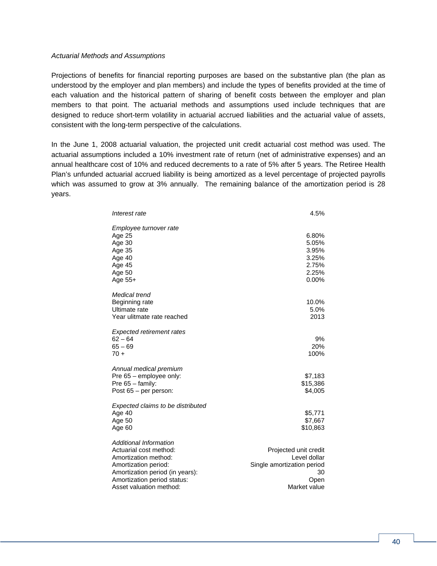#### *Actuarial Methods and Assumptions*

Projections of benefits for financial reporting purposes are based on the substantive plan (the plan as understood by the employer and plan members) and include the types of benefits provided at the time of each valuation and the historical pattern of sharing of benefit costs between the employer and plan members to that point. The actuarial methods and assumptions used include techniques that are designed to reduce short-term volatility in actuarial accrued liabilities and the actuarial value of assets, consistent with the long-term perspective of the calculations.

In the June 1, 2008 actuarial valuation, the projected unit credit actuarial cost method was used. The actuarial assumptions included a 10% investment rate of return (net of administrative expenses) and an annual healthcare cost of 10% and reduced decrements to a rate of 5% after 5 years. The Retiree Health Plan's unfunded actuarial accrued liability is being amortized as a level percentage of projected payrolls which was assumed to grow at 3% annually. The remaining balance of the amortization period is 28 years.

| Interest rate                                                                                                                                                                                        | 4.5%                                                                                              |
|------------------------------------------------------------------------------------------------------------------------------------------------------------------------------------------------------|---------------------------------------------------------------------------------------------------|
| Employee turnover rate<br>Age 25<br>Age 30<br>Age 35<br>Age 40<br>Age 45<br>Age 50<br>Age $55+$                                                                                                      | 6.80%<br>5.05%<br>3.95%<br>3.25%<br>2.75%<br>2.25%<br>0.00%                                       |
| Medical trend<br>Beginning rate<br>Ultimate rate<br>Year ulitmate rate reached                                                                                                                       | 10.0%<br>5.0%<br>2013                                                                             |
| <b>Expected retirement rates</b><br>$62 - 64$<br>$65 - 69$<br>$70 +$                                                                                                                                 | 9%<br>20%<br>100%                                                                                 |
| Annual medical premium<br>Pre $65$ – employee only:<br>Pre $65 -$ family:<br>Post $65$ – per person:                                                                                                 | \$7,183<br>\$15,386<br>\$4,005                                                                    |
| Expected claims to be distributed<br>Age 40<br>Age 50<br>Age 60                                                                                                                                      | \$5,771<br>\$7,667<br>\$10,863                                                                    |
| <b>Additional Information</b><br>Actuarial cost method:<br>Amortization method:<br>Amortization period:<br>Amortization period (in years):<br>Amortization period status:<br>Asset valuation method: | Projected unit credit<br>Level dollar<br>Single amortization period<br>30<br>Open<br>Market value |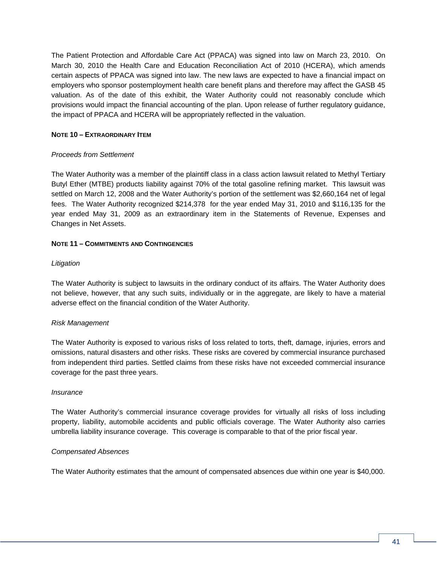The Patient Protection and Affordable Care Act (PPACA) was signed into law on March 23, 2010. On March 30, 2010 the Health Care and Education Reconciliation Act of 2010 (HCERA), which amends certain aspects of PPACA was signed into law. The new laws are expected to have a financial impact on employers who sponsor postemployment health care benefit plans and therefore may affect the GASB 45 valuation. As of the date of this exhibit, the Water Authority could not reasonably conclude which provisions would impact the financial accounting of the plan. Upon release of further regulatory guidance, the impact of PPACA and HCERA will be appropriately reflected in the valuation.

### **NOTE 10 – EXTRAORDINARY ITEM**

### *Proceeds from Settlement*

The Water Authority was a member of the plaintiff class in a class action lawsuit related to Methyl Tertiary Butyl Ether (MTBE) products liability against 70% of the total gasoline refining market. This lawsuit was settled on March 12, 2008 and the Water Authority's portion of the settlement was \$2,660,164 net of legal fees. The Water Authority recognized \$214,378 for the year ended May 31, 2010 and \$116,135 for the year ended May 31, 2009 as an extraordinary item in the Statements of Revenue, Expenses and Changes in Net Assets.

### **NOTE 11 – COMMITMENTS AND CONTINGENCIES**

### *Litigation*

The Water Authority is subject to lawsuits in the ordinary conduct of its affairs. The Water Authority does not believe, however, that any such suits, individually or in the aggregate, are likely to have a material adverse effect on the financial condition of the Water Authority.

### *Risk Management*

The Water Authority is exposed to various risks of loss related to torts, theft, damage, injuries, errors and omissions, natural disasters and other risks. These risks are covered by commercial insurance purchased from independent third parties. Settled claims from these risks have not exceeded commercial insurance coverage for the past three years.

#### *Insurance*

The Water Authority's commercial insurance coverage provides for virtually all risks of loss including property, liability, automobile accidents and public officials coverage. The Water Authority also carries umbrella liability insurance coverage. This coverage is comparable to that of the prior fiscal year.

### *Compensated Absences*

The Water Authority estimates that the amount of compensated absences due within one year is \$40,000.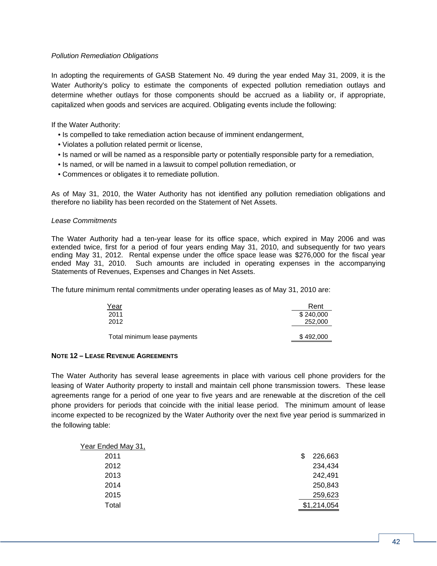### *Pollution Remediation Obligations*

In adopting the requirements of GASB Statement No. 49 during the year ended May 31, 2009, it is the Water Authority's policy to estimate the components of expected pollution remediation outlays and determine whether outlays for those components should be accrued as a liability or, if appropriate, capitalized when goods and services are acquired. Obligating events include the following:

If the Water Authority:

- Is compelled to take remediation action because of imminent endangerment,
- Violates a pollution related permit or license,
- Is named or will be named as a responsible party or potentially responsible party for a remediation,
- Is named, or will be named in a lawsuit to compel pollution remediation, or
- Commences or obligates it to remediate pollution.

As of May 31, 2010, the Water Authority has not identified any pollution remediation obligations and therefore no liability has been recorded on the Statement of Net Assets.

#### *Lease Commitments*

The Water Authority had a ten-year lease for its office space, which expired in May 2006 and was extended twice, first for a period of four years ending May 31, 2010, and subsequently for two years ending May 31, 2012. Rental expense under the office space lease was \$276,000 for the fiscal year ended May 31, 2010. Such amounts are included in operating expenses in the accompanying Statements of Revenues, Expenses and Changes in Net Assets.

The future minimum rental commitments under operating leases as of May 31, 2010 are:

| <u>Year</u>                  | Rent      |
|------------------------------|-----------|
| 2011                         | \$240,000 |
| 2012                         | 252,000   |
|                              |           |
| Total minimum lease payments | \$492,000 |

#### **NOTE 12 – LEASE REVENUE AGREEMENTS**

The Water Authority has several lease agreements in place with various cell phone providers for the leasing of Water Authority property to install and maintain cell phone transmission towers. These lease agreements range for a period of one year to five years and are renewable at the discretion of the cell phone providers for periods that coincide with the initial lease period. The minimum amount of lease income expected to be recognized by the Water Authority over the next five year period is summarized in the following table:

| Year Ended May 31, |   |             |
|--------------------|---|-------------|
| 2011               | S | 226,663     |
| 2012               |   | 234,434     |
| 2013               |   | 242,491     |
| 2014               |   | 250,843     |
| 2015               |   | 259,623     |
| Total              |   | \$1,214,054 |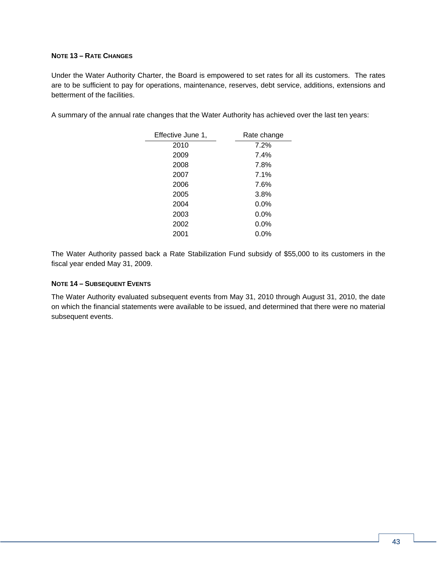### **NOTE 13 – RATE CHANGES**

Under the Water Authority Charter, the Board is empowered to set rates for all its customers. The rates are to be sufficient to pay for operations, maintenance, reserves, debt service, additions, extensions and betterment of the facilities.

A summary of the annual rate changes that the Water Authority has achieved over the last ten years:

| Effective June 1, | Rate change |  |
|-------------------|-------------|--|
| 2010              | 7.2%        |  |
| 2009              | 7.4%        |  |
| 2008              | 7.8%        |  |
| 2007              | 7.1%        |  |
| 2006              | 7.6%        |  |
| 2005              | 3.8%        |  |
| 2004              | 0.0%        |  |
| 2003              | $0.0\%$     |  |
| 2002              | 0.0%        |  |
| 2001              | $0.0\%$     |  |

The Water Authority passed back a Rate Stabilization Fund subsidy of \$55,000 to its customers in the fiscal year ended May 31, 2009.

#### **NOTE 14 – SUBSEQUENT EVENTS**

The Water Authority evaluated subsequent events from May 31, 2010 through August 31, 2010, the date on which the financial statements were available to be issued, and determined that there were no material subsequent events.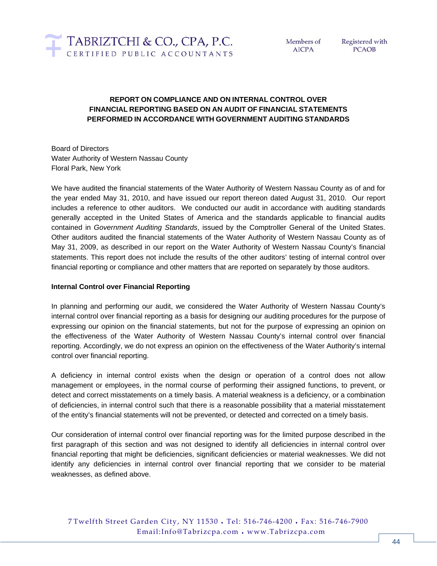

Registered with **PCAOB** 

# **REPORT ON COMPLIANCE AND ON INTERNAL CONTROL OVER FINANCIAL REPORTING BASED ON AN AUDIT OF FINANCIAL STATEMENTS PERFORMED IN ACCORDANCE WITH GOVERNMENT AUDITING STANDARDS**

Board of Directors Water Authority of Western Nassau County Floral Park, New York

We have audited the financial statements of the Water Authority of Western Nassau County as of and for the year ended May 31, 2010, and have issued our report thereon dated August 31, 2010. Our report includes a reference to other auditors. We conducted our audit in accordance with auditing standards generally accepted in the United States of America and the standards applicable to financial audits contained in *Government Auditing Standards*, issued by the Comptroller General of the United States. Other auditors audited the financial statements of the Water Authority of Western Nassau County as of May 31, 2009, as described in our report on the Water Authority of Western Nassau County's financial statements. This report does not include the results of the other auditors' testing of internal control over financial reporting or compliance and other matters that are reported on separately by those auditors.

### **Internal Control over Financial Reporting**

In planning and performing our audit, we considered the Water Authority of Western Nassau County's internal control over financial reporting as a basis for designing our auditing procedures for the purpose of expressing our opinion on the financial statements, but not for the purpose of expressing an opinion on the effectiveness of the Water Authority of Western Nassau County's internal control over financial reporting. Accordingly, we do not express an opinion on the effectiveness of the Water Authority's internal control over financial reporting.

A deficiency in internal control exists when the design or operation of a control does not allow management or employees, in the normal course of performing their assigned functions, to prevent, or detect and correct misstatements on a timely basis. A material weakness is a deficiency, or a combination of deficiencies, in internal control such that there is a reasonable possibility that a material misstatement of the entity's financial statements will not be prevented, or detected and corrected on a timely basis.

Our consideration of internal control over financial reporting was for the limited purpose described in the first paragraph of this section and was not designed to identify all deficiencies in internal control over financial reporting that might be deficiencies, significant deficiencies or material weaknesses. We did not identify any deficiencies in internal control over financial reporting that we consider to be material weaknesses, as defined above.

7 Twelfth Street Garden City, NY 11530 ♦ Tel: 516-746-4200 ♦ Fax: 516-746-7900 Email:Info@Tabrizcpa.com ♦ www.Tabrizcpa.com